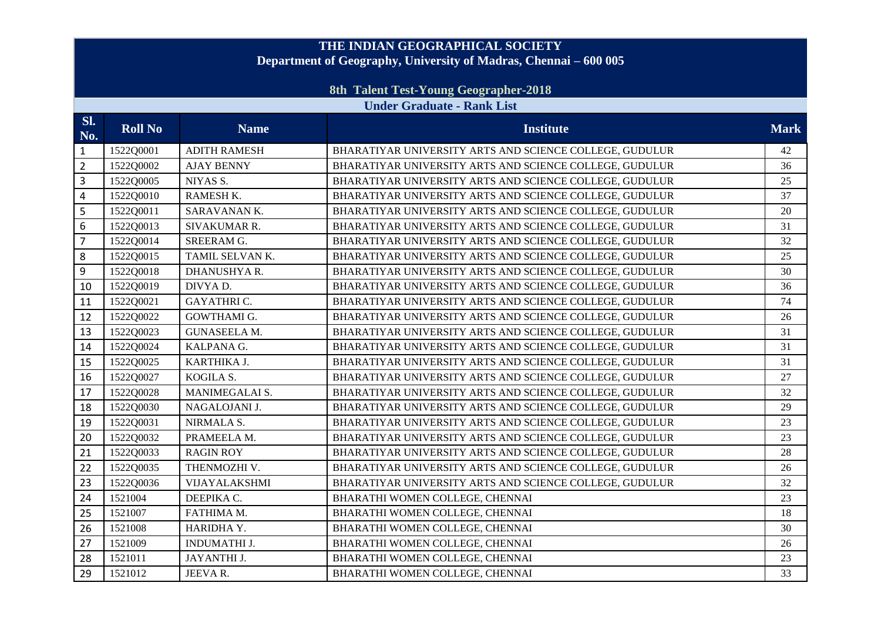## **THE INDIAN GEOGRAPHICAL SOCIETY Department of Geography, University of Madras, Chennai – 600 005**

## **8th Talent Test-Young Geographer-2018**

## **Under Graduate - Rank List**

| Sl.<br>No.     | <b>Roll No</b> | <b>Name</b>         | <b>Institute</b>                                        | <b>Mark</b> |
|----------------|----------------|---------------------|---------------------------------------------------------|-------------|
| $\mathbf{1}$   | 1522Q0001      | <b>ADITH RAMESH</b> | BHARATIYAR UNIVERSITY ARTS AND SCIENCE COLLEGE, GUDULUR | 42          |
| $\overline{2}$ | 1522Q0002      | <b>AJAY BENNY</b>   | BHARATIYAR UNIVERSITY ARTS AND SCIENCE COLLEGE, GUDULUR | 36          |
| 3              | 1522Q0005      | NIYAS S.            | BHARATIYAR UNIVERSITY ARTS AND SCIENCE COLLEGE, GUDULUR | 25          |
| 4              | 1522Q0010      | RAMESH K.           | BHARATIYAR UNIVERSITY ARTS AND SCIENCE COLLEGE, GUDULUR | 37          |
| 5              | 1522Q0011      | SARAVANANK.         | BHARATIYAR UNIVERSITY ARTS AND SCIENCE COLLEGE, GUDULUR | 20          |
| 6              | 1522Q0013      | SIVAKUMAR R.        | BHARATIYAR UNIVERSITY ARTS AND SCIENCE COLLEGE, GUDULUR | 31          |
| $\overline{7}$ | 1522Q0014      | <b>SREERAM G.</b>   | BHARATIYAR UNIVERSITY ARTS AND SCIENCE COLLEGE, GUDULUR | 32          |
| 8              | 1522Q0015      | TAMIL SELVAN K.     | BHARATIYAR UNIVERSITY ARTS AND SCIENCE COLLEGE, GUDULUR | 25          |
| 9              | 1522Q0018      | DHANUSHYA R.        | BHARATIYAR UNIVERSITY ARTS AND SCIENCE COLLEGE, GUDULUR | 30          |
| 10             | 1522Q0019      | DIVYA D.            | BHARATIYAR UNIVERSITY ARTS AND SCIENCE COLLEGE, GUDULUR | 36          |
| 11             | 1522Q0021      | <b>GAYATHRIC.</b>   | BHARATIYAR UNIVERSITY ARTS AND SCIENCE COLLEGE, GUDULUR | 74          |
| 12             | 1522Q0022      | <b>GOWTHAMI G.</b>  | BHARATIYAR UNIVERSITY ARTS AND SCIENCE COLLEGE, GUDULUR | 26          |
| 13             | 1522Q0023      | <b>GUNASEELA M.</b> | BHARATIYAR UNIVERSITY ARTS AND SCIENCE COLLEGE, GUDULUR | 31          |
| 14             | 1522Q0024      | KALPANA G.          | BHARATIYAR UNIVERSITY ARTS AND SCIENCE COLLEGE, GUDULUR | 31          |
| 15             | 1522Q0025      | KARTHIKA J.         | BHARATIYAR UNIVERSITY ARTS AND SCIENCE COLLEGE, GUDULUR | 31          |
| 16             | 1522Q0027      | KOGILA S.           | BHARATIYAR UNIVERSITY ARTS AND SCIENCE COLLEGE, GUDULUR | 27          |
| 17             | 1522Q0028      | MANIMEGALAI S.      | BHARATIYAR UNIVERSITY ARTS AND SCIENCE COLLEGE, GUDULUR | 32          |
| 18             | 1522Q0030      | NAGALOJANI J.       | BHARATIYAR UNIVERSITY ARTS AND SCIENCE COLLEGE, GUDULUR | 29          |
| 19             | 1522Q0031      | NIRMALA S.          | BHARATIYAR UNIVERSITY ARTS AND SCIENCE COLLEGE, GUDULUR | 23          |
| 20             | 1522Q0032      | PRAMEELA M.         | BHARATIYAR UNIVERSITY ARTS AND SCIENCE COLLEGE, GUDULUR | 23          |
| 21             | 1522Q0033      | <b>RAGIN ROY</b>    | BHARATIYAR UNIVERSITY ARTS AND SCIENCE COLLEGE, GUDULUR | 28          |
| 22             | 1522Q0035      | THENMOZHI V.        | BHARATIYAR UNIVERSITY ARTS AND SCIENCE COLLEGE, GUDULUR | 26          |
| 23             | 1522Q0036      | VIJAYALAKSHMI       | BHARATIYAR UNIVERSITY ARTS AND SCIENCE COLLEGE, GUDULUR | 32          |
| 24             | 1521004        | DEEPIKA C.          | BHARATHI WOMEN COLLEGE, CHENNAI                         | 23          |
| 25             | 1521007        | FATHIMA M.          | BHARATHI WOMEN COLLEGE, CHENNAI                         | 18          |
| 26             | 1521008        | HARIDHA Y.          | BHARATHI WOMEN COLLEGE, CHENNAI                         | 30          |
| 27             | 1521009        | <b>INDUMATHI J.</b> | BHARATHI WOMEN COLLEGE, CHENNAI                         | 26          |
| 28             | 1521011        | JAYANTHI J.         | BHARATHI WOMEN COLLEGE, CHENNAI                         | 23          |
| 29             | 1521012        | JEEVAR.             | BHARATHI WOMEN COLLEGE, CHENNAI                         | 33          |
|                |                |                     |                                                         |             |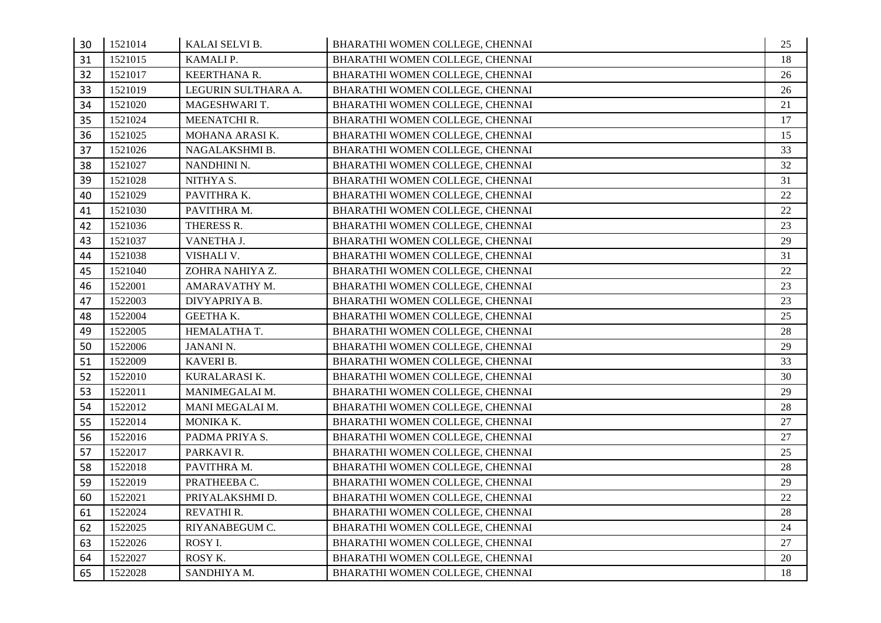| 30 | 1521014 | KALAI SELVI B.      | BHARATHI WOMEN COLLEGE, CHENNAI | 25 |
|----|---------|---------------------|---------------------------------|----|
| 31 | 1521015 | KAMALI P.           | BHARATHI WOMEN COLLEGE, CHENNAI | 18 |
| 32 | 1521017 | KEERTHANA R.        | BHARATHI WOMEN COLLEGE, CHENNAI | 26 |
| 33 | 1521019 | LEGURIN SULTHARA A. | BHARATHI WOMEN COLLEGE, CHENNAI | 26 |
| 34 | 1521020 | MAGESHWARI T.       | BHARATHI WOMEN COLLEGE, CHENNAI | 21 |
| 35 | 1521024 | MEENATCHI R.        | BHARATHI WOMEN COLLEGE, CHENNAI | 17 |
| 36 | 1521025 | MOHANA ARASIK.      | BHARATHI WOMEN COLLEGE, CHENNAI | 15 |
| 37 | 1521026 | NAGALAKSHMI B.      | BHARATHI WOMEN COLLEGE, CHENNAI | 33 |
| 38 | 1521027 | NANDHINI N.         | BHARATHI WOMEN COLLEGE, CHENNAI | 32 |
| 39 | 1521028 | NITHYA S.           | BHARATHI WOMEN COLLEGE, CHENNAI | 31 |
| 40 | 1521029 | PAVITHRA K.         | BHARATHI WOMEN COLLEGE, CHENNAI | 22 |
| 41 | 1521030 | PAVITHRA M.         | BHARATHI WOMEN COLLEGE, CHENNAI | 22 |
| 42 | 1521036 | THERESS R.          | BHARATHI WOMEN COLLEGE, CHENNAI | 23 |
| 43 | 1521037 | VANETHA J.          | BHARATHI WOMEN COLLEGE, CHENNAI | 29 |
| 44 | 1521038 | VISHALI V.          | BHARATHI WOMEN COLLEGE, CHENNAI | 31 |
| 45 | 1521040 | ZOHRA NAHIYA Z.     | BHARATHI WOMEN COLLEGE, CHENNAI | 22 |
| 46 | 1522001 | AMARAVATHY M.       | BHARATHI WOMEN COLLEGE, CHENNAI | 23 |
| 47 | 1522003 | DIVYAPRIYA B.       | BHARATHI WOMEN COLLEGE, CHENNAI | 23 |
| 48 | 1522004 | GEETHA K.           | BHARATHI WOMEN COLLEGE, CHENNAI | 25 |
| 49 | 1522005 | HEMALATHA T.        | BHARATHI WOMEN COLLEGE, CHENNAI | 28 |
| 50 | 1522006 | <b>JANANI N.</b>    | BHARATHI WOMEN COLLEGE, CHENNAI | 29 |
| 51 | 1522009 | KAVERI B.           | BHARATHI WOMEN COLLEGE, CHENNAI | 33 |
| 52 | 1522010 | KURALARASI K.       | BHARATHI WOMEN COLLEGE, CHENNAI | 30 |
| 53 | 1522011 | MANIMEGALAI M.      | BHARATHI WOMEN COLLEGE, CHENNAI | 29 |
| 54 | 1522012 | MANI MEGALAI M.     | BHARATHI WOMEN COLLEGE, CHENNAI | 28 |
| 55 | 1522014 | MONIKA K.           | BHARATHI WOMEN COLLEGE, CHENNAI | 27 |
| 56 | 1522016 | PADMA PRIYA S.      | BHARATHI WOMEN COLLEGE, CHENNAI | 27 |
| 57 | 1522017 | PARKAVI R.          | BHARATHI WOMEN COLLEGE, CHENNAI | 25 |
| 58 | 1522018 | PAVITHRA M.         | BHARATHI WOMEN COLLEGE, CHENNAI | 28 |
| 59 | 1522019 | PRATHEEBA C.        | BHARATHI WOMEN COLLEGE, CHENNAI | 29 |
| 60 | 1522021 | PRIYALAKSHMI D.     | BHARATHI WOMEN COLLEGE, CHENNAI | 22 |
| 61 | 1522024 | REVATHI R.          | BHARATHI WOMEN COLLEGE, CHENNAI | 28 |
| 62 | 1522025 | RIYANABEGUM C.      | BHARATHI WOMEN COLLEGE, CHENNAI | 24 |
| 63 | 1522026 | ROSY I.             | BHARATHI WOMEN COLLEGE, CHENNAI | 27 |
| 64 | 1522027 | ROSY K.             | BHARATHI WOMEN COLLEGE, CHENNAI | 20 |
| 65 | 1522028 | SANDHIYA M.         | BHARATHI WOMEN COLLEGE, CHENNAI | 18 |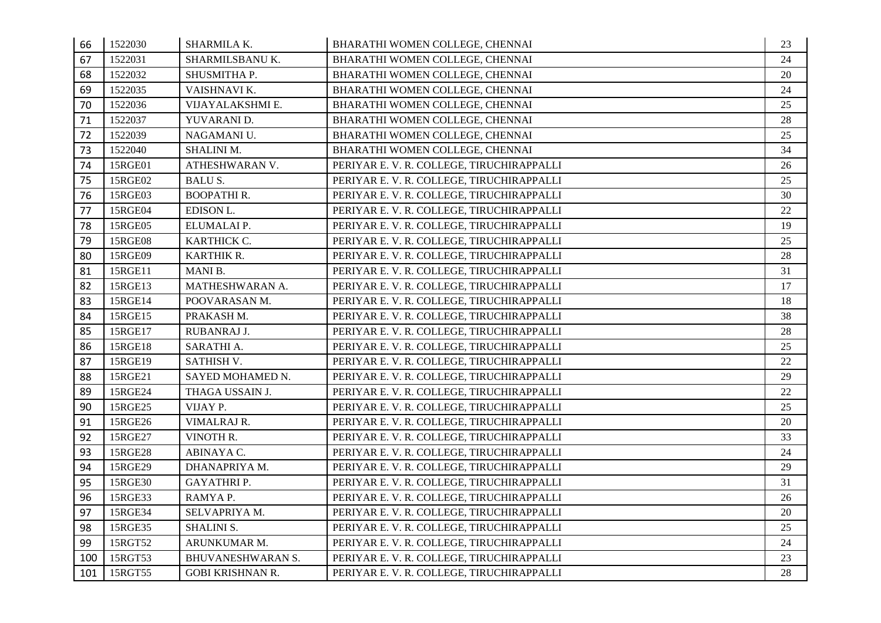| 66  | 1522030 | SHARMILA K.             | BHARATHI WOMEN COLLEGE, CHENNAI           | 23 |
|-----|---------|-------------------------|-------------------------------------------|----|
| 67  | 1522031 | SHARMILSBANU K.         | BHARATHI WOMEN COLLEGE, CHENNAI           | 24 |
| 68  | 1522032 | SHUSMITHA P.            | BHARATHI WOMEN COLLEGE, CHENNAI           | 20 |
| 69  | 1522035 | VAISHNAVI K.            | BHARATHI WOMEN COLLEGE, CHENNAI           | 24 |
| 70  | 1522036 | VIJAYALAKSHMI E.        | BHARATHI WOMEN COLLEGE, CHENNAI           | 25 |
| 71  | 1522037 | YUVARANI D.             | BHARATHI WOMEN COLLEGE, CHENNAI           | 28 |
| 72  | 1522039 | NAGAMANI U.             | BHARATHI WOMEN COLLEGE, CHENNAI           | 25 |
| 73  | 1522040 | SHALINI M.              | BHARATHI WOMEN COLLEGE, CHENNAI           | 34 |
| 74  | 15RGE01 | ATHESHWARAN V.          | PERIYAR E. V. R. COLLEGE, TIRUCHIRAPPALLI | 26 |
| 75  | 15RGE02 | BALU S.                 | PERIYAR E.V. R. COLLEGE, TIRUCHIRAPPALLI  | 25 |
| 76  | 15RGE03 | <b>BOOPATHIR.</b>       | PERIYAR E.V. R. COLLEGE, TIRUCHIRAPPALLI  | 30 |
| 77  | 15RGE04 | EDISON L.               | PERIYAR E.V. R. COLLEGE, TIRUCHIRAPPALLI  | 22 |
| 78  | 15RGE05 | ELUMALAI P.             | PERIYAR E.V. R. COLLEGE, TIRUCHIRAPPALLI  | 19 |
| 79  | 15RGE08 | KARTHICK C.             | PERIYAR E. V. R. COLLEGE, TIRUCHIRAPPALLI | 25 |
| 80  | 15RGE09 | KARTHIK R.              | PERIYAR E.V. R. COLLEGE, TIRUCHIRAPPALLI  | 28 |
| 81  | 15RGE11 | MANI B.                 | PERIYAR E.V. R. COLLEGE, TIRUCHIRAPPALLI  | 31 |
| 82  | 15RGE13 | MATHESHWARAN A.         | PERIYAR E.V. R. COLLEGE, TIRUCHIRAPPALLI  | 17 |
| 83  | 15RGE14 | POOVARASAN M.           | PERIYAR E. V. R. COLLEGE, TIRUCHIRAPPALLI | 18 |
| 84  | 15RGE15 | PRAKASH M.              | PERIYAR E.V. R. COLLEGE, TIRUCHIRAPPALLI  | 38 |
| 85  | 15RGE17 | RUBANRAJ J.             | PERIYAR E.V. R. COLLEGE, TIRUCHIRAPPALLI  | 28 |
| 86  | 15RGE18 | SARATHI A.              | PERIYAR E.V. R. COLLEGE, TIRUCHIRAPPALLI  | 25 |
| 87  | 15RGE19 | SATHISH V.              | PERIYAR E.V. R. COLLEGE, TIRUCHIRAPPALLI  | 22 |
| 88  | 15RGE21 | SAYED MOHAMED N.        | PERIYAR E. V. R. COLLEGE, TIRUCHIRAPPALLI | 29 |
| 89  | 15RGE24 | THAGA USSAIN J.         | PERIYAR E.V. R. COLLEGE, TIRUCHIRAPPALLI  | 22 |
| 90  | 15RGE25 | VIJAY P.                | PERIYAR E. V. R. COLLEGE, TIRUCHIRAPPALLI | 25 |
| 91  | 15RGE26 | VIMALRAJ R.             | PERIYAR E. V. R. COLLEGE, TIRUCHIRAPPALLI | 20 |
| 92  | 15RGE27 | VINOTH R.               | PERIYAR E. V. R. COLLEGE, TIRUCHIRAPPALLI | 33 |
| 93  | 15RGE28 | ABINAYA C.              | PERIYAR E.V. R. COLLEGE, TIRUCHIRAPPALLI  | 24 |
| 94  | 15RGE29 | DHANAPRIYA M.           | PERIYAR E.V. R. COLLEGE, TIRUCHIRAPPALLI  | 29 |
| 95  | 15RGE30 | GAYATHRI P.             | PERIYAR E.V. R. COLLEGE, TIRUCHIRAPPALLI  | 31 |
| 96  | 15RGE33 | RAMYAP.                 | PERIYAR E. V. R. COLLEGE, TIRUCHIRAPPALLI | 26 |
| 97  | 15RGE34 | SELVAPRIYA M.           | PERIYAR E. V. R. COLLEGE, TIRUCHIRAPPALLI | 20 |
| 98  | 15RGE35 | <b>SHALINI S.</b>       | PERIYAR E.V. R. COLLEGE, TIRUCHIRAPPALLI  | 25 |
| 99  | 15RGT52 | ARUNKUMAR M.            | PERIYAR E. V. R. COLLEGE, TIRUCHIRAPPALLI | 24 |
| 100 | 15RGT53 | BHUVANESHWARAN S.       | PERIYAR E. V. R. COLLEGE, TIRUCHIRAPPALLI | 23 |
| 101 | 15RGT55 | <b>GOBI KRISHNAN R.</b> | PERIYAR E.V. R. COLLEGE, TIRUCHIRAPPALLI  | 28 |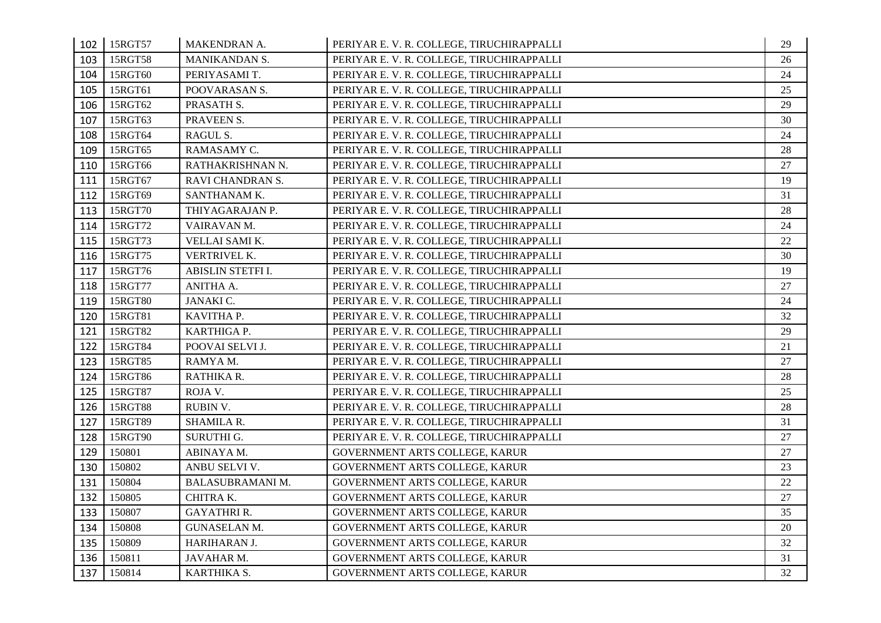| 102 | 15RGT57 | MAKENDRAN A.            | PERIYAR E. V. R. COLLEGE, TIRUCHIRAPPALLI | 29 |
|-----|---------|-------------------------|-------------------------------------------|----|
| 103 | 15RGT58 | MANIKANDAN S.           | PERIYAR E. V. R. COLLEGE, TIRUCHIRAPPALLI | 26 |
| 104 | 15RGT60 | PERIYASAMI T.           | PERIYAR E.V. R. COLLEGE, TIRUCHIRAPPALLI  | 24 |
| 105 | 15RGT61 | POOVARASAN S.           | PERIYAR E.V. R. COLLEGE, TIRUCHIRAPPALLI  | 25 |
| 106 | 15RGT62 | PRASATH S.              | PERIYAR E. V. R. COLLEGE, TIRUCHIRAPPALLI | 29 |
| 107 | 15RGT63 | PRAVEEN S.              | PERIYAR E. V. R. COLLEGE, TIRUCHIRAPPALLI | 30 |
| 108 | 15RGT64 | RAGUL S.                | PERIYAR E. V. R. COLLEGE, TIRUCHIRAPPALLI | 24 |
| 109 | 15RGT65 | RAMASAMY C.             | PERIYAR E. V. R. COLLEGE, TIRUCHIRAPPALLI | 28 |
| 110 | 15RGT66 | RATHAKRISHNAN N.        | PERIYAR E.V. R. COLLEGE, TIRUCHIRAPPALLI  | 27 |
| 111 | 15RGT67 | RAVI CHANDRAN S.        | PERIYAR E. V. R. COLLEGE, TIRUCHIRAPPALLI | 19 |
| 112 | 15RGT69 | SANTHANAM K.            | PERIYAR E. V. R. COLLEGE, TIRUCHIRAPPALLI | 31 |
| 113 | 15RGT70 | THIYAGARAJAN P.         | PERIYAR E. V. R. COLLEGE, TIRUCHIRAPPALLI | 28 |
| 114 | 15RGT72 | VAIRAVAN M.             | PERIYAR E.V. R. COLLEGE, TIRUCHIRAPPALLI  | 24 |
| 115 | 15RGT73 | VELLAI SAMI K.          | PERIYAR E. V. R. COLLEGE, TIRUCHIRAPPALLI | 22 |
| 116 | 15RGT75 | VERTRIVEL K.            | PERIYAR E. V. R. COLLEGE, TIRUCHIRAPPALLI | 30 |
| 117 | 15RGT76 | ABISLIN STETFI I.       | PERIYAR E. V. R. COLLEGE, TIRUCHIRAPPALLI | 19 |
| 118 | 15RGT77 | ANITHA A.               | PERIYAR E.V. R. COLLEGE, TIRUCHIRAPPALLI  | 27 |
| 119 | 15RGT80 | JANAKI C.               | PERIYAR E. V. R. COLLEGE, TIRUCHIRAPPALLI | 24 |
| 120 | 15RGT81 | KAVITHA P.              | PERIYAR E. V. R. COLLEGE, TIRUCHIRAPPALLI | 32 |
| 121 | 15RGT82 | KARTHIGA P.             | PERIYAR E.V. R. COLLEGE, TIRUCHIRAPPALLI  | 29 |
| 122 | 15RGT84 | POOVAI SELVI J.         | PERIYAR E. V. R. COLLEGE, TIRUCHIRAPPALLI | 21 |
| 123 | 15RGT85 | RAMYAM.                 | PERIYAR E. V. R. COLLEGE, TIRUCHIRAPPALLI | 27 |
| 124 | 15RGT86 | RATHIKA R.              | PERIYAR E. V. R. COLLEGE, TIRUCHIRAPPALLI | 28 |
| 125 | 15RGT87 | ROJA V.                 | PERIYAR E. V. R. COLLEGE, TIRUCHIRAPPALLI | 25 |
| 126 | 15RGT88 | RUBIN V.                | PERIYAR E. V. R. COLLEGE, TIRUCHIRAPPALLI | 28 |
| 127 | 15RGT89 | SHAMILA R.              | PERIYAR E. V. R. COLLEGE, TIRUCHIRAPPALLI | 31 |
| 128 | 15RGT90 | SURUTHI G.              | PERIYAR E. V. R. COLLEGE, TIRUCHIRAPPALLI | 27 |
| 129 | 150801  | ABINAYA M.              | GOVERNMENT ARTS COLLEGE, KARUR            | 27 |
| 130 | 150802  | ANBU SELVI V.           | GOVERNMENT ARTS COLLEGE, KARUR            | 23 |
| 131 | 150804  | <b>BALASUBRAMANI M.</b> | GOVERNMENT ARTS COLLEGE, KARUR            | 22 |
| 132 | 150805  | CHITRA K.               | GOVERNMENT ARTS COLLEGE, KARUR            | 27 |
| 133 | 150807  | <b>GAYATHRI R.</b>      | GOVERNMENT ARTS COLLEGE, KARUR            | 35 |
| 134 | 150808  | <b>GUNASELAN M.</b>     | GOVERNMENT ARTS COLLEGE, KARUR            | 20 |
| 135 | 150809  | HARIHARAN J.            | GOVERNMENT ARTS COLLEGE, KARUR            | 32 |
| 136 | 150811  | JAVAHAR M.              | GOVERNMENT ARTS COLLEGE, KARUR            | 31 |
| 137 | 150814  | KARTHIKA S.             | GOVERNMENT ARTS COLLEGE, KARUR            | 32 |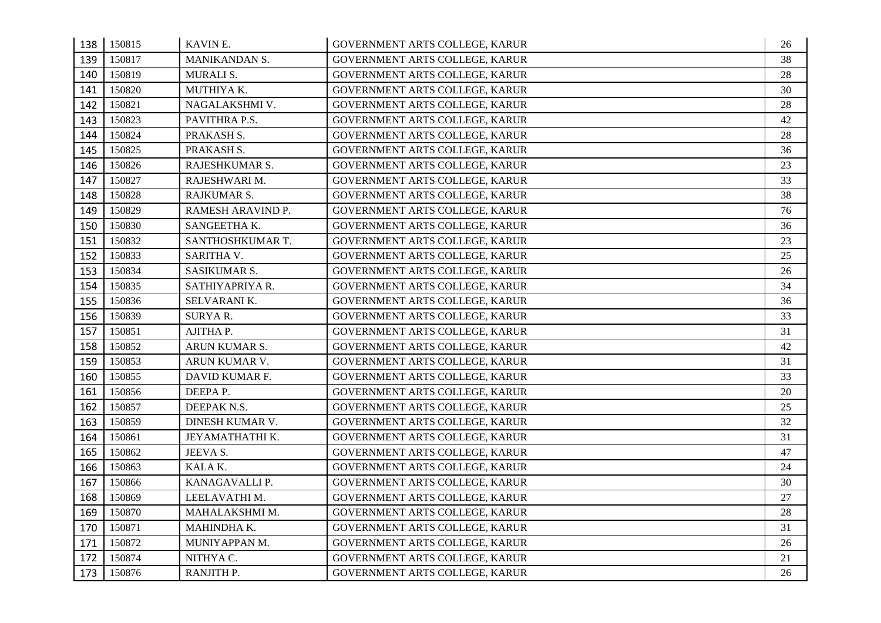| 138 | 150815 | KAVIN E.          | GOVERNMENT ARTS COLLEGE, KARUR | 26 |
|-----|--------|-------------------|--------------------------------|----|
| 139 | 150817 | MANIKANDAN S.     | GOVERNMENT ARTS COLLEGE, KARUR | 38 |
| 140 | 150819 | MURALI S.         | GOVERNMENT ARTS COLLEGE, KARUR | 28 |
| 141 | 150820 | MUTHIYA K.        | GOVERNMENT ARTS COLLEGE, KARUR | 30 |
| 142 | 150821 | NAGALAKSHMI V.    | GOVERNMENT ARTS COLLEGE, KARUR | 28 |
| 143 | 150823 | PAVITHRA P.S.     | GOVERNMENT ARTS COLLEGE, KARUR | 42 |
| 144 | 150824 | PRAKASH S.        | GOVERNMENT ARTS COLLEGE, KARUR | 28 |
| 145 | 150825 | PRAKASH S.        | GOVERNMENT ARTS COLLEGE, KARUR | 36 |
| 146 | 150826 | RAJESHKUMAR S.    | GOVERNMENT ARTS COLLEGE, KARUR | 23 |
| 147 | 150827 | RAJESHWARI M.     | GOVERNMENT ARTS COLLEGE, KARUR | 33 |
| 148 | 150828 | RAJKUMAR S.       | GOVERNMENT ARTS COLLEGE, KARUR | 38 |
| 149 | 150829 | RAMESH ARAVIND P. | GOVERNMENT ARTS COLLEGE, KARUR | 76 |
| 150 | 150830 | SANGEETHA K.      | GOVERNMENT ARTS COLLEGE, KARUR | 36 |
| 151 | 150832 | SANTHOSHKUMAR T.  | GOVERNMENT ARTS COLLEGE, KARUR | 23 |
| 152 | 150833 | SARITHA V.        | GOVERNMENT ARTS COLLEGE, KARUR | 25 |
| 153 | 150834 | SASIKUMAR S.      | GOVERNMENT ARTS COLLEGE, KARUR | 26 |
| 154 | 150835 | SATHIYAPRIYA R.   | GOVERNMENT ARTS COLLEGE, KARUR | 34 |
| 155 | 150836 | SELVARANI K.      | GOVERNMENT ARTS COLLEGE, KARUR | 36 |
| 156 | 150839 | SURYAR.           | GOVERNMENT ARTS COLLEGE, KARUR | 33 |
| 157 | 150851 | AJITHA P.         | GOVERNMENT ARTS COLLEGE, KARUR | 31 |
| 158 | 150852 | ARUN KUMAR S.     | GOVERNMENT ARTS COLLEGE, KARUR | 42 |
| 159 | 150853 | ARUN KUMAR V.     | GOVERNMENT ARTS COLLEGE, KARUR | 31 |
| 160 | 150855 | DAVID KUMAR F.    | GOVERNMENT ARTS COLLEGE, KARUR | 33 |
| 161 | 150856 | DEEPAP.           | GOVERNMENT ARTS COLLEGE, KARUR | 20 |
| 162 | 150857 | DEEPAK N.S.       | GOVERNMENT ARTS COLLEGE, KARUR | 25 |
| 163 | 150859 | DINESH KUMAR V.   | GOVERNMENT ARTS COLLEGE, KARUR | 32 |
| 164 | 150861 | JEYAMATHATHI K.   | GOVERNMENT ARTS COLLEGE, KARUR | 31 |
| 165 | 150862 | JEEVA S.          | GOVERNMENT ARTS COLLEGE, KARUR | 47 |
| 166 | 150863 | KALAK.            | GOVERNMENT ARTS COLLEGE, KARUR | 24 |
| 167 | 150866 | KANAGAVALLI P.    | GOVERNMENT ARTS COLLEGE, KARUR | 30 |
| 168 | 150869 | LEELAVATHI M.     | GOVERNMENT ARTS COLLEGE, KARUR | 27 |
| 169 | 150870 | MAHALAKSHMI M.    | GOVERNMENT ARTS COLLEGE, KARUR | 28 |
| 170 | 150871 | MAHINDHA K.       | GOVERNMENT ARTS COLLEGE, KARUR | 31 |
| 171 | 150872 | MUNIYAPPAN M.     | GOVERNMENT ARTS COLLEGE, KARUR | 26 |
| 172 | 150874 | NITHYA C.         | GOVERNMENT ARTS COLLEGE, KARUR | 21 |
| 173 | 150876 | RANJITH P.        | GOVERNMENT ARTS COLLEGE, KARUR | 26 |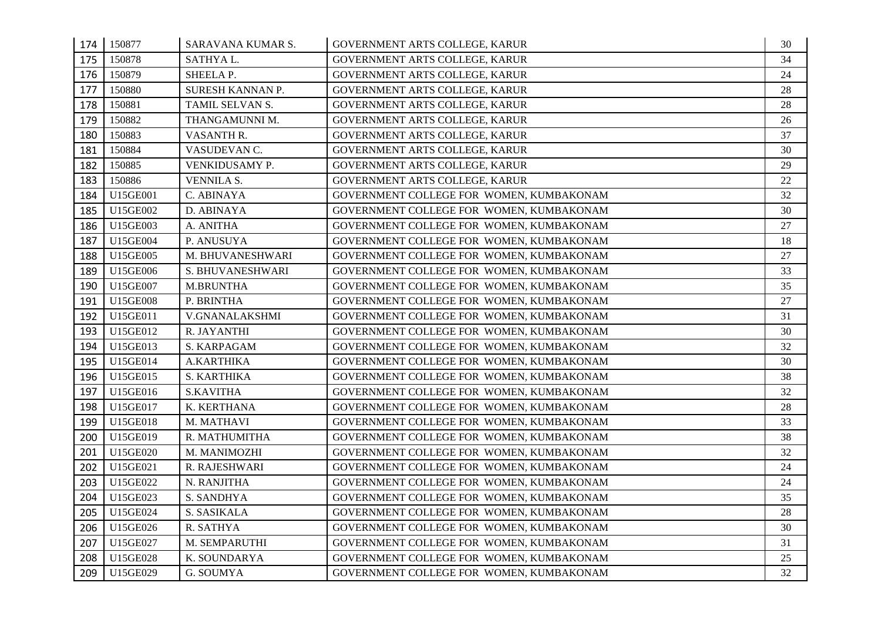|     | 174 150877 | SARAVANA KUMAR S. | GOVERNMENT ARTS COLLEGE, KARUR           | 30 |
|-----|------------|-------------------|------------------------------------------|----|
| 175 | 150878     | SATHYA L.         | GOVERNMENT ARTS COLLEGE, KARUR           | 34 |
| 176 | 150879     | SHEELA P.         | GOVERNMENT ARTS COLLEGE, KARUR           | 24 |
| 177 | 150880     | SURESH KANNAN P.  | GOVERNMENT ARTS COLLEGE, KARUR           | 28 |
| 178 | 150881     | TAMIL SELVAN S.   | GOVERNMENT ARTS COLLEGE, KARUR           | 28 |
| 179 | 150882     | THANGAMUNNI M.    | GOVERNMENT ARTS COLLEGE, KARUR           | 26 |
| 180 | 150883     | VASANTH R.        | GOVERNMENT ARTS COLLEGE, KARUR           | 37 |
| 181 | 150884     | VASUDEVAN C.      | GOVERNMENT ARTS COLLEGE, KARUR           | 30 |
| 182 | 150885     | VENKIDUSAMY P.    | GOVERNMENT ARTS COLLEGE, KARUR           | 29 |
| 183 | 150886     | VENNILA S.        | GOVERNMENT ARTS COLLEGE, KARUR           | 22 |
| 184 | U15GE001   | C. ABINAYA        | GOVERNMENT COLLEGE FOR WOMEN, KUMBAKONAM | 32 |
| 185 | U15GE002   | D. ABINAYA        | GOVERNMENT COLLEGE FOR WOMEN, KUMBAKONAM | 30 |
| 186 | U15GE003   | A. ANITHA         | GOVERNMENT COLLEGE FOR WOMEN, KUMBAKONAM | 27 |
| 187 | U15GE004   | P. ANUSUYA        | GOVERNMENT COLLEGE FOR WOMEN, KUMBAKONAM | 18 |
| 188 | U15GE005   | M. BHUVANESHWARI  | GOVERNMENT COLLEGE FOR WOMEN, KUMBAKONAM | 27 |
| 189 | U15GE006   | S. BHUVANESHWARI  | GOVERNMENT COLLEGE FOR WOMEN, KUMBAKONAM | 33 |
| 190 | U15GE007   | <b>M.BRUNTHA</b>  | GOVERNMENT COLLEGE FOR WOMEN, KUMBAKONAM | 35 |
| 191 | U15GE008   | P. BRINTHA        | GOVERNMENT COLLEGE FOR WOMEN, KUMBAKONAM | 27 |
| 192 | U15GE011   | V.GNANALAKSHMI    | GOVERNMENT COLLEGE FOR WOMEN, KUMBAKONAM | 31 |
| 193 | U15GE012   | R. JAYANTHI       | GOVERNMENT COLLEGE FOR WOMEN, KUMBAKONAM | 30 |
| 194 | U15GE013   | S. KARPAGAM       | GOVERNMENT COLLEGE FOR WOMEN, KUMBAKONAM | 32 |
| 195 | U15GE014   | A.KARTHIKA        | GOVERNMENT COLLEGE FOR WOMEN, KUMBAKONAM | 30 |
| 196 | U15GE015   | S. KARTHIKA       | GOVERNMENT COLLEGE FOR WOMEN, KUMBAKONAM | 38 |
| 197 | U15GE016   | <b>S.KAVITHA</b>  | GOVERNMENT COLLEGE FOR WOMEN, KUMBAKONAM | 32 |
| 198 | U15GE017   | K. KERTHANA       | GOVERNMENT COLLEGE FOR WOMEN, KUMBAKONAM | 28 |
| 199 | U15GE018   | M. MATHAVI        | GOVERNMENT COLLEGE FOR WOMEN, KUMBAKONAM | 33 |
| 200 | U15GE019   | R. MATHUMITHA     | GOVERNMENT COLLEGE FOR WOMEN, KUMBAKONAM | 38 |
| 201 | U15GE020   | M. MANIMOZHI      | GOVERNMENT COLLEGE FOR WOMEN, KUMBAKONAM | 32 |
| 202 | U15GE021   | R. RAJESHWARI     | GOVERNMENT COLLEGE FOR WOMEN, KUMBAKONAM | 24 |
| 203 | U15GE022   | N. RANJITHA       | GOVERNMENT COLLEGE FOR WOMEN, KUMBAKONAM | 24 |
| 204 | U15GE023   | S. SANDHYA        | GOVERNMENT COLLEGE FOR WOMEN, KUMBAKONAM | 35 |
| 205 | U15GE024   | S. SASIKALA       | GOVERNMENT COLLEGE FOR WOMEN, KUMBAKONAM | 28 |
| 206 | U15GE026   | R. SATHYA         | GOVERNMENT COLLEGE FOR WOMEN, KUMBAKONAM | 30 |
| 207 | U15GE027   | M. SEMPARUTHI     | GOVERNMENT COLLEGE FOR WOMEN, KUMBAKONAM | 31 |
| 208 | U15GE028   | K. SOUNDARYA      | GOVERNMENT COLLEGE FOR WOMEN, KUMBAKONAM | 25 |
| 209 | U15GE029   | G. SOUMYA         | GOVERNMENT COLLEGE FOR WOMEN, KUMBAKONAM | 32 |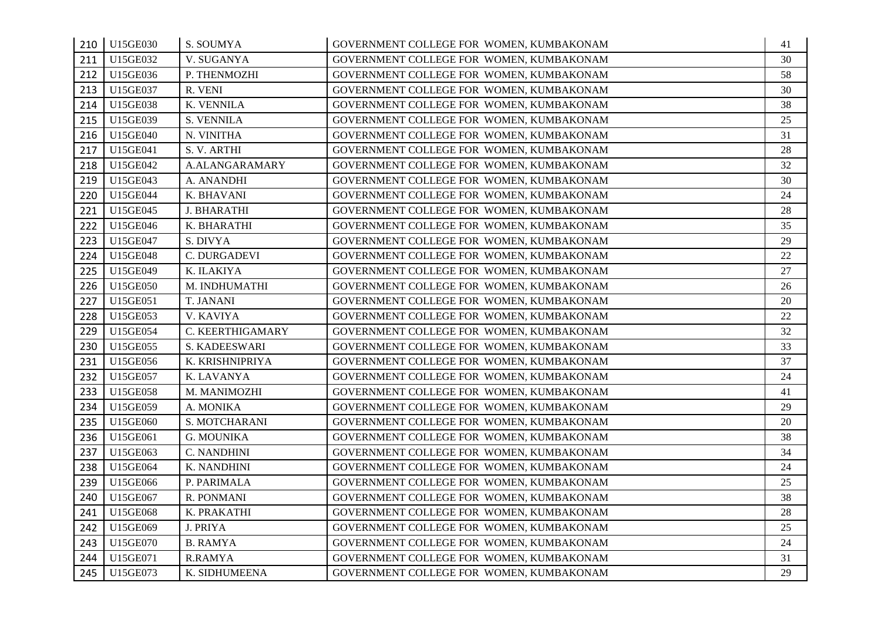|     | 210 U15GE030 | S. SOUMYA          | GOVERNMENT COLLEGE FOR WOMEN, KUMBAKONAM | 41 |
|-----|--------------|--------------------|------------------------------------------|----|
| 211 | U15GE032     | V. SUGANYA         | GOVERNMENT COLLEGE FOR WOMEN, KUMBAKONAM | 30 |
| 212 | U15GE036     | P. THENMOZHI       | GOVERNMENT COLLEGE FOR WOMEN, KUMBAKONAM | 58 |
| 213 | U15GE037     | R. VENI            | GOVERNMENT COLLEGE FOR WOMEN, KUMBAKONAM | 30 |
| 214 | U15GE038     | K. VENNILA         | GOVERNMENT COLLEGE FOR WOMEN, KUMBAKONAM | 38 |
| 215 | U15GE039     | S. VENNILA         | GOVERNMENT COLLEGE FOR WOMEN, KUMBAKONAM | 25 |
| 216 | U15GE040     | N. VINITHA         | GOVERNMENT COLLEGE FOR WOMEN, KUMBAKONAM | 31 |
| 217 | U15GE041     | S.V. ARTHI         | GOVERNMENT COLLEGE FOR WOMEN, KUMBAKONAM | 28 |
| 218 | U15GE042     | A.ALANGARAMARY     | GOVERNMENT COLLEGE FOR WOMEN, KUMBAKONAM | 32 |
| 219 | U15GE043     | A. ANANDHI         | GOVERNMENT COLLEGE FOR WOMEN, KUMBAKONAM | 30 |
| 220 | U15GE044     | K. BHAVANI         | GOVERNMENT COLLEGE FOR WOMEN, KUMBAKONAM | 24 |
| 221 | U15GE045     | <b>J. BHARATHI</b> | GOVERNMENT COLLEGE FOR WOMEN, KUMBAKONAM | 28 |
| 222 | U15GE046     | K. BHARATHI        | GOVERNMENT COLLEGE FOR WOMEN, KUMBAKONAM | 35 |
| 223 | U15GE047     | S. DIVYA           | GOVERNMENT COLLEGE FOR WOMEN, KUMBAKONAM | 29 |
| 224 | U15GE048     | C. DURGADEVI       | GOVERNMENT COLLEGE FOR WOMEN, KUMBAKONAM | 22 |
| 225 | U15GE049     | K. ILAKIYA         | GOVERNMENT COLLEGE FOR WOMEN, KUMBAKONAM | 27 |
| 226 | U15GE050     | M. INDHUMATHI      | GOVERNMENT COLLEGE FOR WOMEN, KUMBAKONAM | 26 |
| 227 | U15GE051     | T. JANANI          | GOVERNMENT COLLEGE FOR WOMEN, KUMBAKONAM | 20 |
| 228 | U15GE053     | V. KAVIYA          | GOVERNMENT COLLEGE FOR WOMEN, KUMBAKONAM | 22 |
| 229 | U15GE054     | C. KEERTHIGAMARY   | GOVERNMENT COLLEGE FOR WOMEN, KUMBAKONAM | 32 |
| 230 | U15GE055     | S. KADEESWARI      | GOVERNMENT COLLEGE FOR WOMEN, KUMBAKONAM | 33 |
| 231 | U15GE056     | K. KRISHNIPRIYA    | GOVERNMENT COLLEGE FOR WOMEN, KUMBAKONAM | 37 |
| 232 | U15GE057     | K. LAVANYA         | GOVERNMENT COLLEGE FOR WOMEN, KUMBAKONAM | 24 |
| 233 | U15GE058     | M. MANIMOZHI       | GOVERNMENT COLLEGE FOR WOMEN, KUMBAKONAM | 41 |
| 234 | U15GE059     | A. MONIKA          | GOVERNMENT COLLEGE FOR WOMEN, KUMBAKONAM | 29 |
| 235 | U15GE060     | S. MOTCHARANI      | GOVERNMENT COLLEGE FOR WOMEN, KUMBAKONAM | 20 |
| 236 | U15GE061     | <b>G. MOUNIKA</b>  | GOVERNMENT COLLEGE FOR WOMEN, KUMBAKONAM | 38 |
| 237 | U15GE063     | C. NANDHINI        | GOVERNMENT COLLEGE FOR WOMEN, KUMBAKONAM | 34 |
| 238 | U15GE064     | K. NANDHINI        | GOVERNMENT COLLEGE FOR WOMEN, KUMBAKONAM | 24 |
| 239 | U15GE066     | P. PARIMALA        | GOVERNMENT COLLEGE FOR WOMEN, KUMBAKONAM | 25 |
| 240 | U15GE067     | R. PONMANI         | GOVERNMENT COLLEGE FOR WOMEN, KUMBAKONAM | 38 |
| 241 | U15GE068     | K. PRAKATHI        | GOVERNMENT COLLEGE FOR WOMEN, KUMBAKONAM | 28 |
| 242 | U15GE069     | <b>J. PRIYA</b>    | GOVERNMENT COLLEGE FOR WOMEN, KUMBAKONAM | 25 |
| 243 | U15GE070     | <b>B. RAMYA</b>    | GOVERNMENT COLLEGE FOR WOMEN, KUMBAKONAM | 24 |
| 244 | U15GE071     | <b>R.RAMYA</b>     | GOVERNMENT COLLEGE FOR WOMEN, KUMBAKONAM | 31 |
| 245 | U15GE073     | K. SIDHUMEENA      | GOVERNMENT COLLEGE FOR WOMEN, KUMBAKONAM | 29 |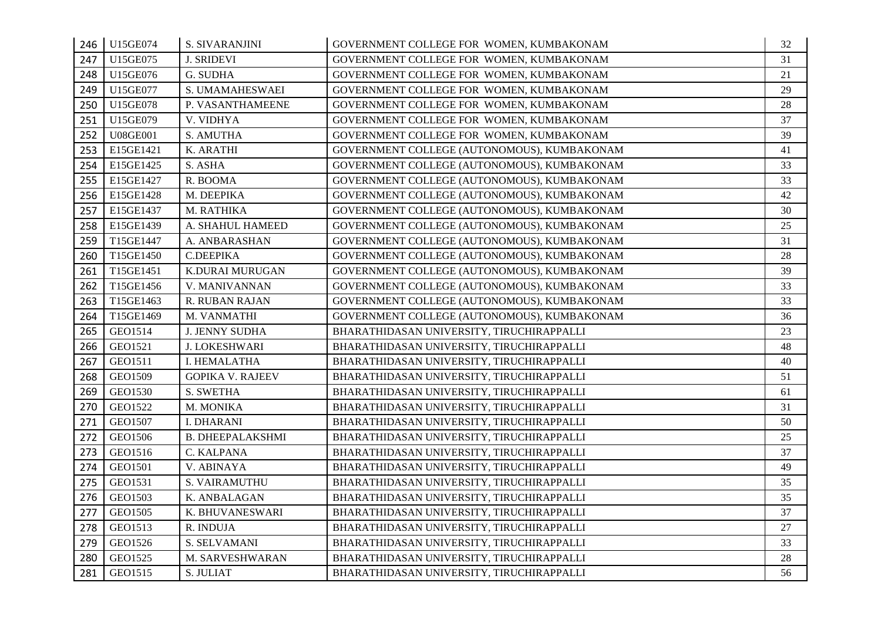| 246 | U15GE074        | S. SIVARANJINI          | GOVERNMENT COLLEGE FOR WOMEN, KUMBAKONAM    | 32 |
|-----|-----------------|-------------------------|---------------------------------------------|----|
| 247 | U15GE075        | <b>J. SRIDEVI</b>       | GOVERNMENT COLLEGE FOR WOMEN, KUMBAKONAM    | 31 |
| 248 | U15GE076        | G. SUDHA                | GOVERNMENT COLLEGE FOR WOMEN, KUMBAKONAM    | 21 |
| 249 | U15GE077        | S. UMAMAHESWAEI         | GOVERNMENT COLLEGE FOR WOMEN, KUMBAKONAM    | 29 |
| 250 | U15GE078        | P. VASANTHAMEENE        | GOVERNMENT COLLEGE FOR WOMEN, KUMBAKONAM    | 28 |
| 251 | U15GE079        | V. VIDHYA               | GOVERNMENT COLLEGE FOR WOMEN, KUMBAKONAM    | 37 |
| 252 | <b>U08GE001</b> | S. AMUTHA               | GOVERNMENT COLLEGE FOR WOMEN, KUMBAKONAM    | 39 |
| 253 | E15GE1421       | K. ARATHI               | GOVERNMENT COLLEGE (AUTONOMOUS), KUMBAKONAM | 41 |
| 254 | E15GE1425       | S. ASHA                 | GOVERNMENT COLLEGE (AUTONOMOUS), KUMBAKONAM | 33 |
| 255 | E15GE1427       | R. BOOMA                | GOVERNMENT COLLEGE (AUTONOMOUS), KUMBAKONAM | 33 |
| 256 | E15GE1428       | M. DEEPIKA              | GOVERNMENT COLLEGE (AUTONOMOUS), KUMBAKONAM | 42 |
| 257 | E15GE1437       | M. RATHIKA              | GOVERNMENT COLLEGE (AUTONOMOUS), KUMBAKONAM | 30 |
| 258 | E15GE1439       | A. SHAHUL HAMEED        | GOVERNMENT COLLEGE (AUTONOMOUS), KUMBAKONAM | 25 |
| 259 | T15GE1447       | A. ANBARASHAN           | GOVERNMENT COLLEGE (AUTONOMOUS), KUMBAKONAM | 31 |
| 260 | T15GE1450       | <b>C.DEEPIKA</b>        | GOVERNMENT COLLEGE (AUTONOMOUS), KUMBAKONAM | 28 |
| 261 | T15GE1451       | K.DURAI MURUGAN         | GOVERNMENT COLLEGE (AUTONOMOUS), KUMBAKONAM | 39 |
| 262 | T15GE1456       | V. MANIVANNAN           | GOVERNMENT COLLEGE (AUTONOMOUS), KUMBAKONAM | 33 |
| 263 | T15GE1463       | R. RUBAN RAJAN          | GOVERNMENT COLLEGE (AUTONOMOUS), KUMBAKONAM | 33 |
| 264 | T15GE1469       | M. VANMATHI             | GOVERNMENT COLLEGE (AUTONOMOUS), KUMBAKONAM | 36 |
| 265 | GEO1514         | <b>J. JENNY SUDHA</b>   | BHARATHIDASAN UNIVERSITY, TIRUCHIRAPPALLI   | 23 |
| 266 | GEO1521         | J. LOKESHWARI           | BHARATHIDASAN UNIVERSITY, TIRUCHIRAPPALLI   | 48 |
| 267 | GEO1511         | I. HEMALATHA            | BHARATHIDASAN UNIVERSITY, TIRUCHIRAPPALLI   | 40 |
| 268 | GEO1509         | <b>GOPIKA V. RAJEEV</b> | BHARATHIDASAN UNIVERSITY, TIRUCHIRAPPALLI   | 51 |
| 269 | GEO1530         | S. SWETHA               | BHARATHIDASAN UNIVERSITY, TIRUCHIRAPPALLI   | 61 |
| 270 | GEO1522         | M. MONIKA               | BHARATHIDASAN UNIVERSITY, TIRUCHIRAPPALLI   | 31 |
| 271 | GEO1507         | <b>I. DHARANI</b>       | BHARATHIDASAN UNIVERSITY, TIRUCHIRAPPALLI   | 50 |
| 272 | GEO1506         | <b>B. DHEEPALAKSHMI</b> | BHARATHIDASAN UNIVERSITY, TIRUCHIRAPPALLI   | 25 |
| 273 | GEO1516         | C. KALPANA              | BHARATHIDASAN UNIVERSITY, TIRUCHIRAPPALLI   | 37 |
| 274 | GEO1501         | V. ABINAYA              | BHARATHIDASAN UNIVERSITY, TIRUCHIRAPPALLI   | 49 |
| 275 | GEO1531         | S. VAIRAMUTHU           | BHARATHIDASAN UNIVERSITY, TIRUCHIRAPPALLI   | 35 |
| 276 | GEO1503         | K. ANBALAGAN            | BHARATHIDASAN UNIVERSITY, TIRUCHIRAPPALLI   | 35 |
| 277 | GEO1505         | K. BHUVANESWARI         | BHARATHIDASAN UNIVERSITY, TIRUCHIRAPPALLI   | 37 |
| 278 | GEO1513         | R. INDUJA               | BHARATHIDASAN UNIVERSITY, TIRUCHIRAPPALLI   | 27 |
| 279 | GEO1526         | S. SELVAMANI            | BHARATHIDASAN UNIVERSITY, TIRUCHIRAPPALLI   | 33 |
| 280 | GEO1525         | M. SARVESHWARAN         | BHARATHIDASAN UNIVERSITY, TIRUCHIRAPPALLI   | 28 |
| 281 | GEO1515         | S. JULIAT               | BHARATHIDASAN UNIVERSITY, TIRUCHIRAPPALLI   | 56 |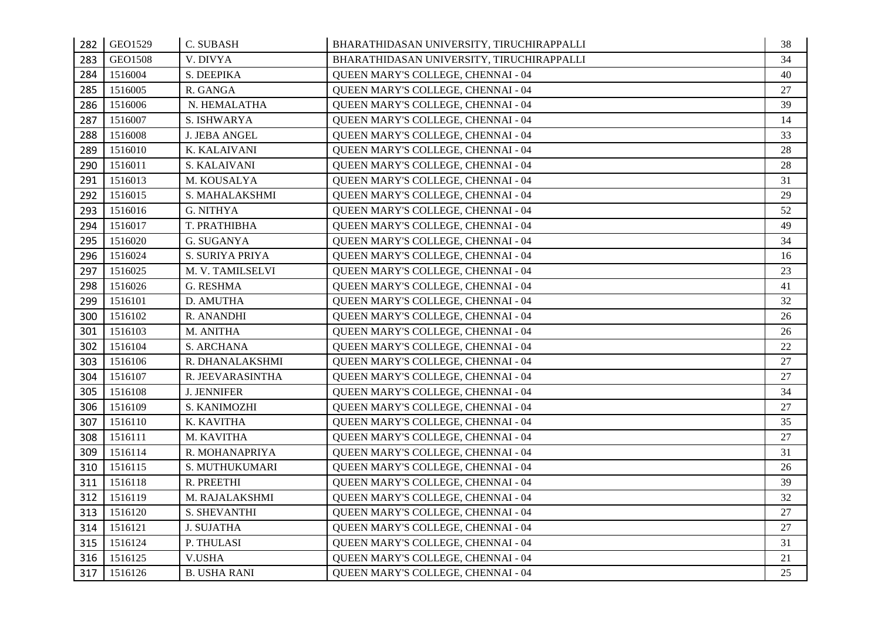| 282 | GEO1529 | C. SUBASH            | BHARATHIDASAN UNIVERSITY, TIRUCHIRAPPALLI | 38 |
|-----|---------|----------------------|-------------------------------------------|----|
| 283 | GEO1508 | V. DIVYA             | BHARATHIDASAN UNIVERSITY, TIRUCHIRAPPALLI | 34 |
| 284 | 1516004 | S. DEEPIKA           | QUEEN MARY'S COLLEGE, CHENNAI - 04        | 40 |
| 285 | 1516005 | R. GANGA             | QUEEN MARY'S COLLEGE, CHENNAI - 04        | 27 |
| 286 | 1516006 | N. HEMALATHA         | QUEEN MARY'S COLLEGE, CHENNAI - 04        | 39 |
| 287 | 1516007 | S. ISHWARYA          | QUEEN MARY'S COLLEGE, CHENNAI - 04        | 14 |
| 288 | 1516008 | <b>J. JEBA ANGEL</b> | QUEEN MARY'S COLLEGE, CHENNAI - 04        | 33 |
| 289 | 1516010 | K. KALAIVANI         | QUEEN MARY'S COLLEGE, CHENNAI - 04        | 28 |
| 290 | 1516011 | S. KALAIVANI         | QUEEN MARY'S COLLEGE, CHENNAI - 04        | 28 |
| 291 | 1516013 | M. KOUSALYA          | QUEEN MARY'S COLLEGE, CHENNAI - 04        | 31 |
| 292 | 1516015 | S. MAHALAKSHMI       | QUEEN MARY'S COLLEGE, CHENNAI - 04        | 29 |
| 293 | 1516016 | G. NITHYA            | QUEEN MARY'S COLLEGE, CHENNAI - 04        | 52 |
| 294 | 1516017 | T. PRATHIBHA         | QUEEN MARY'S COLLEGE, CHENNAI - 04        | 49 |
| 295 | 1516020 | G. SUGANYA           | QUEEN MARY'S COLLEGE, CHENNAI - 04        | 34 |
| 296 | 1516024 | S. SURIYA PRIYA      | QUEEN MARY'S COLLEGE, CHENNAI - 04        | 16 |
| 297 | 1516025 | M. V. TAMILSELVI     | QUEEN MARY'S COLLEGE, CHENNAI - 04        | 23 |
| 298 | 1516026 | G. RESHMA            | QUEEN MARY'S COLLEGE, CHENNAI - 04        | 41 |
| 299 | 1516101 | D. AMUTHA            | QUEEN MARY'S COLLEGE, CHENNAI - 04        | 32 |
| 300 | 1516102 | R. ANANDHI           | QUEEN MARY'S COLLEGE, CHENNAI - 04        | 26 |
| 301 | 1516103 | M. ANITHA            | QUEEN MARY'S COLLEGE, CHENNAI - 04        | 26 |
| 302 | 1516104 | S. ARCHANA           | QUEEN MARY'S COLLEGE, CHENNAI - 04        | 22 |
| 303 | 1516106 | R. DHANALAKSHMI      | QUEEN MARY'S COLLEGE, CHENNAI - 04        | 27 |
| 304 | 1516107 | R. JEEVARASINTHA     | QUEEN MARY'S COLLEGE, CHENNAI - 04        | 27 |
| 305 | 1516108 | <b>J. JENNIFER</b>   | QUEEN MARY'S COLLEGE, CHENNAI - 04        | 34 |
| 306 | 1516109 | S. KANIMOZHI         | QUEEN MARY'S COLLEGE, CHENNAI - 04        | 27 |
| 307 | 1516110 | K. KAVITHA           | QUEEN MARY'S COLLEGE, CHENNAI - 04        | 35 |
| 308 | 1516111 | M. KAVITHA           | QUEEN MARY'S COLLEGE, CHENNAI - 04        | 27 |
| 309 | 1516114 | R. MOHANAPRIYA       | QUEEN MARY'S COLLEGE, CHENNAI - 04        | 31 |
| 310 | 1516115 | S. MUTHUKUMARI       | QUEEN MARY'S COLLEGE, CHENNAI - 04        | 26 |
| 311 | 1516118 | R. PREETHI           | QUEEN MARY'S COLLEGE, CHENNAI - 04        | 39 |
| 312 | 1516119 | M. RAJALAKSHMI       | QUEEN MARY'S COLLEGE, CHENNAI - 04        | 32 |
| 313 | 1516120 | S. SHEVANTHI         | QUEEN MARY'S COLLEGE, CHENNAI - 04        | 27 |
| 314 | 1516121 | <b>J. SUJATHA</b>    | QUEEN MARY'S COLLEGE, CHENNAI - 04        | 27 |
| 315 | 1516124 | P. THULASI           | QUEEN MARY'S COLLEGE, CHENNAI - 04        | 31 |
| 316 | 1516125 | <b>V.USHA</b>        | QUEEN MARY'S COLLEGE, CHENNAI - 04        | 21 |
| 317 | 1516126 | <b>B. USHA RANI</b>  | QUEEN MARY'S COLLEGE, CHENNAI - 04        | 25 |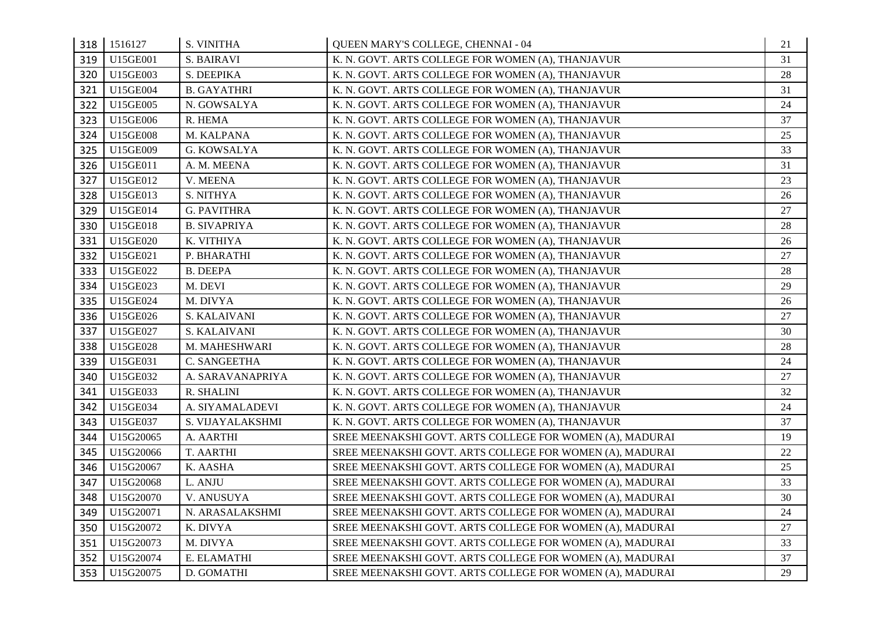| 318 | 1516127   | S. VINITHA          | QUEEN MARY'S COLLEGE, CHENNAI - 04                       | 21 |
|-----|-----------|---------------------|----------------------------------------------------------|----|
| 319 | U15GE001  | S. BAIRAVI          | K. N. GOVT. ARTS COLLEGE FOR WOMEN (A), THANJAVUR        | 31 |
| 320 | U15GE003  | S. DEEPIKA          | K. N. GOVT. ARTS COLLEGE FOR WOMEN (A), THANJAVUR        | 28 |
| 321 | U15GE004  | <b>B. GAYATHRI</b>  | K. N. GOVT. ARTS COLLEGE FOR WOMEN (A), THANJAVUR        | 31 |
| 322 | U15GE005  | N. GOWSALYA         | K. N. GOVT. ARTS COLLEGE FOR WOMEN (A), THANJAVUR        | 24 |
| 323 | U15GE006  | R. HEMA             | K. N. GOVT. ARTS COLLEGE FOR WOMEN (A), THANJAVUR        | 37 |
| 324 | U15GE008  | M. KALPANA          | K. N. GOVT. ARTS COLLEGE FOR WOMEN (A), THANJAVUR        | 25 |
| 325 | U15GE009  | G. KOWSALYA         | K. N. GOVT. ARTS COLLEGE FOR WOMEN (A), THANJAVUR        | 33 |
| 326 | U15GE011  | A. M. MEENA         | K. N. GOVT. ARTS COLLEGE FOR WOMEN (A), THANJAVUR        | 31 |
| 327 | U15GE012  | V. MEENA            | K. N. GOVT. ARTS COLLEGE FOR WOMEN (A), THANJAVUR        | 23 |
| 328 | U15GE013  | S. NITHYA           | K. N. GOVT. ARTS COLLEGE FOR WOMEN (A), THANJAVUR        | 26 |
| 329 | U15GE014  | G. PAVITHRA         | K. N. GOVT. ARTS COLLEGE FOR WOMEN (A), THANJAVUR        | 27 |
| 330 | U15GE018  | <b>B. SIVAPRIYA</b> | K. N. GOVT. ARTS COLLEGE FOR WOMEN (A), THANJAVUR        | 28 |
| 331 | U15GE020  | K. VITHIYA          | K. N. GOVT. ARTS COLLEGE FOR WOMEN (A), THANJAVUR        | 26 |
| 332 | U15GE021  | P. BHARATHI         | K. N. GOVT. ARTS COLLEGE FOR WOMEN (A), THANJAVUR        | 27 |
| 333 | U15GE022  | <b>B. DEEPA</b>     | K. N. GOVT. ARTS COLLEGE FOR WOMEN (A), THANJAVUR        | 28 |
| 334 | U15GE023  | M. DEVI             | K. N. GOVT. ARTS COLLEGE FOR WOMEN (A), THANJAVUR        | 29 |
| 335 | U15GE024  | M. DIVYA            | K. N. GOVT. ARTS COLLEGE FOR WOMEN (A), THANJAVUR        | 26 |
| 336 | U15GE026  | S. KALAIVANI        | K. N. GOVT. ARTS COLLEGE FOR WOMEN (A), THANJAVUR        | 27 |
| 337 | U15GE027  | S. KALAIVANI        | K. N. GOVT. ARTS COLLEGE FOR WOMEN (A), THANJAVUR        | 30 |
| 338 | U15GE028  | M. MAHESHWARI       | K. N. GOVT. ARTS COLLEGE FOR WOMEN (A), THANJAVUR        | 28 |
| 339 | U15GE031  | C. SANGEETHA        | K. N. GOVT. ARTS COLLEGE FOR WOMEN (A), THANJAVUR        | 24 |
| 340 | U15GE032  | A. SARAVANAPRIYA    | K. N. GOVT. ARTS COLLEGE FOR WOMEN (A), THANJAVUR        | 27 |
| 341 | U15GE033  | R. SHALINI          | K. N. GOVT. ARTS COLLEGE FOR WOMEN (A), THANJAVUR        | 32 |
| 342 | U15GE034  | A. SIYAMALADEVI     | K. N. GOVT. ARTS COLLEGE FOR WOMEN (A), THANJAVUR        | 24 |
| 343 | U15GE037  | S. VIJAYALAKSHMI    | K. N. GOVT. ARTS COLLEGE FOR WOMEN (A), THANJAVUR        | 37 |
| 344 | U15G20065 | A. AARTHI           | SREE MEENAKSHI GOVT. ARTS COLLEGE FOR WOMEN (A), MADURAI | 19 |
| 345 | U15G20066 | T. AARTHI           | SREE MEENAKSHI GOVT. ARTS COLLEGE FOR WOMEN (A), MADURAI | 22 |
| 346 | U15G20067 | K. AASHA            | SREE MEENAKSHI GOVT. ARTS COLLEGE FOR WOMEN (A), MADURAI | 25 |
| 347 | U15G20068 | L. ANJU             | SREE MEENAKSHI GOVT. ARTS COLLEGE FOR WOMEN (A), MADURAI | 33 |
| 348 | U15G20070 | V. ANUSUYA          | SREE MEENAKSHI GOVT. ARTS COLLEGE FOR WOMEN (A), MADURAI | 30 |
| 349 | U15G20071 | N. ARASALAKSHMI     | SREE MEENAKSHI GOVT. ARTS COLLEGE FOR WOMEN (A), MADURAI | 24 |
| 350 | U15G20072 | K. DIVYA            | SREE MEENAKSHI GOVT. ARTS COLLEGE FOR WOMEN (A), MADURAI | 27 |
| 351 | U15G20073 | M. DIVYA            | SREE MEENAKSHI GOVT. ARTS COLLEGE FOR WOMEN (A), MADURAI | 33 |
| 352 | U15G20074 | E. ELAMATHI         | SREE MEENAKSHI GOVT. ARTS COLLEGE FOR WOMEN (A), MADURAI | 37 |
| 353 | U15G20075 | D. GOMATHI          | SREE MEENAKSHI GOVT. ARTS COLLEGE FOR WOMEN (A), MADURAI | 29 |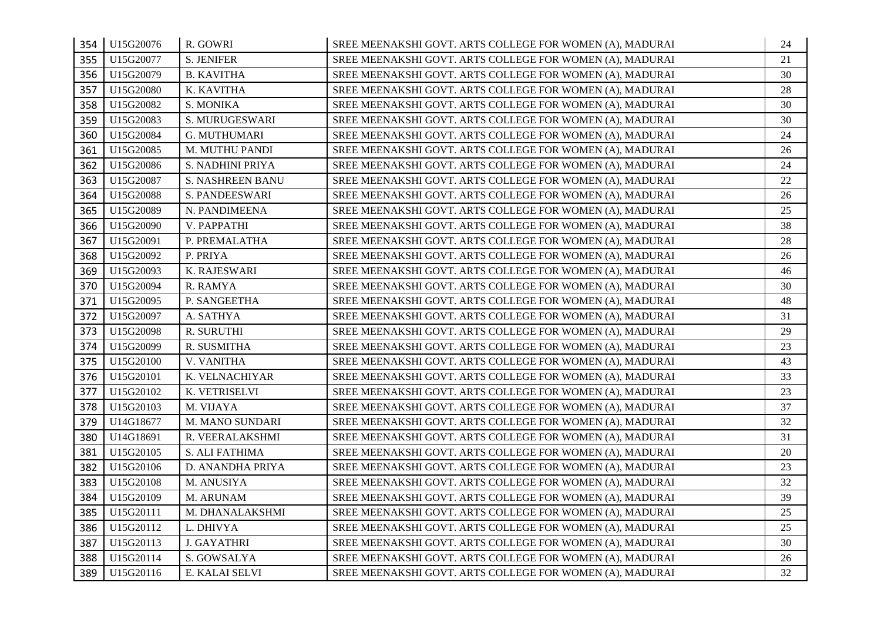| 354 | U15G20076 | R. GOWRI                | SREE MEENAKSHI GOVT. ARTS COLLEGE FOR WOMEN (A), MADURAI | 24 |
|-----|-----------|-------------------------|----------------------------------------------------------|----|
| 355 | U15G20077 | <b>S. JENIFER</b>       | SREE MEENAKSHI GOVT. ARTS COLLEGE FOR WOMEN (A), MADURAI | 21 |
| 356 | U15G20079 | <b>B. KAVITHA</b>       | SREE MEENAKSHI GOVT. ARTS COLLEGE FOR WOMEN (A), MADURAI | 30 |
| 357 | U15G20080 | K. KAVITHA              | SREE MEENAKSHI GOVT. ARTS COLLEGE FOR WOMEN (A), MADURAI | 28 |
| 358 | U15G20082 | S. MONIKA               | SREE MEENAKSHI GOVT. ARTS COLLEGE FOR WOMEN (A), MADURAI | 30 |
| 359 | U15G20083 | S. MURUGESWARI          | SREE MEENAKSHI GOVT. ARTS COLLEGE FOR WOMEN (A), MADURAI | 30 |
| 360 | U15G20084 | G. MUTHUMARI            | SREE MEENAKSHI GOVT. ARTS COLLEGE FOR WOMEN (A), MADURAI | 24 |
| 361 | U15G20085 | M. MUTHU PANDI          | SREE MEENAKSHI GOVT. ARTS COLLEGE FOR WOMEN (A), MADURAI | 26 |
| 362 | U15G20086 | S. NADHINI PRIYA        | SREE MEENAKSHI GOVT. ARTS COLLEGE FOR WOMEN (A), MADURAI | 24 |
| 363 | U15G20087 | <b>S. NASHREEN BANU</b> | SREE MEENAKSHI GOVT. ARTS COLLEGE FOR WOMEN (A), MADURAI | 22 |
| 364 | U15G20088 | S. PANDEESWARI          | SREE MEENAKSHI GOVT. ARTS COLLEGE FOR WOMEN (A), MADURAI | 26 |
| 365 | U15G20089 | N. PANDIMEENA           | SREE MEENAKSHI GOVT. ARTS COLLEGE FOR WOMEN (A), MADURAI | 25 |
| 366 | U15G20090 | V. PAPPATHI             | SREE MEENAKSHI GOVT. ARTS COLLEGE FOR WOMEN (A), MADURAI | 38 |
| 367 | U15G20091 | P. PREMALATHA           | SREE MEENAKSHI GOVT. ARTS COLLEGE FOR WOMEN (A), MADURAI | 28 |
| 368 | U15G20092 | P. PRIYA                | SREE MEENAKSHI GOVT. ARTS COLLEGE FOR WOMEN (A), MADURAI | 26 |
| 369 | U15G20093 | K. RAJESWARI            | SREE MEENAKSHI GOVT. ARTS COLLEGE FOR WOMEN (A), MADURAI | 46 |
| 370 | U15G20094 | R. RAMYA                | SREE MEENAKSHI GOVT. ARTS COLLEGE FOR WOMEN (A), MADURAI | 30 |
| 371 | U15G20095 | P. SANGEETHA            | SREE MEENAKSHI GOVT. ARTS COLLEGE FOR WOMEN (A), MADURAI | 48 |
| 372 | U15G20097 | A. SATHYA               | SREE MEENAKSHI GOVT. ARTS COLLEGE FOR WOMEN (A), MADURAI | 31 |
| 373 | U15G20098 | R. SURUTHI              | SREE MEENAKSHI GOVT. ARTS COLLEGE FOR WOMEN (A), MADURAI | 29 |
| 374 | U15G20099 | R. SUSMITHA             | SREE MEENAKSHI GOVT. ARTS COLLEGE FOR WOMEN (A), MADURAI | 23 |
| 375 | U15G20100 | V. VANITHA              | SREE MEENAKSHI GOVT. ARTS COLLEGE FOR WOMEN (A), MADURAI | 43 |
| 376 | U15G20101 | K. VELNACHIYAR          | SREE MEENAKSHI GOVT. ARTS COLLEGE FOR WOMEN (A), MADURAI | 33 |
| 377 | U15G20102 | K. VETRISELVI           | SREE MEENAKSHI GOVT. ARTS COLLEGE FOR WOMEN (A), MADURAI | 23 |
| 378 | U15G20103 | M. VIJAYA               | SREE MEENAKSHI GOVT. ARTS COLLEGE FOR WOMEN (A), MADURAI | 37 |
| 379 | U14G18677 | M. MANO SUNDARI         | SREE MEENAKSHI GOVT. ARTS COLLEGE FOR WOMEN (A), MADURAI | 32 |
| 380 | U14G18691 | R. VEERALAKSHMI         | SREE MEENAKSHI GOVT. ARTS COLLEGE FOR WOMEN (A), MADURAI | 31 |
| 381 | U15G20105 | S. ALI FATHIMA          | SREE MEENAKSHI GOVT. ARTS COLLEGE FOR WOMEN (A), MADURAI | 20 |
| 382 | U15G20106 | D. ANANDHA PRIYA        | SREE MEENAKSHI GOVT. ARTS COLLEGE FOR WOMEN (A), MADURAI | 23 |
| 383 | U15G20108 | M. ANUSIYA              | SREE MEENAKSHI GOVT. ARTS COLLEGE FOR WOMEN (A), MADURAI | 32 |
| 384 | U15G20109 | M. ARUNAM               | SREE MEENAKSHI GOVT. ARTS COLLEGE FOR WOMEN (A), MADURAI | 39 |
| 385 | U15G20111 | M. DHANALAKSHMI         | SREE MEENAKSHI GOVT. ARTS COLLEGE FOR WOMEN (A), MADURAI | 25 |
| 386 | U15G20112 | L. DHIVYA               | SREE MEENAKSHI GOVT. ARTS COLLEGE FOR WOMEN (A), MADURAI | 25 |
| 387 | U15G20113 | <b>J. GAYATHRI</b>      | SREE MEENAKSHI GOVT. ARTS COLLEGE FOR WOMEN (A), MADURAI | 30 |
| 388 | U15G20114 | S. GOWSALYA             | SREE MEENAKSHI GOVT. ARTS COLLEGE FOR WOMEN (A), MADURAI | 26 |
| 389 | U15G20116 | E. KALAI SELVI          | SREE MEENAKSHI GOVT. ARTS COLLEGE FOR WOMEN (A), MADURAI | 32 |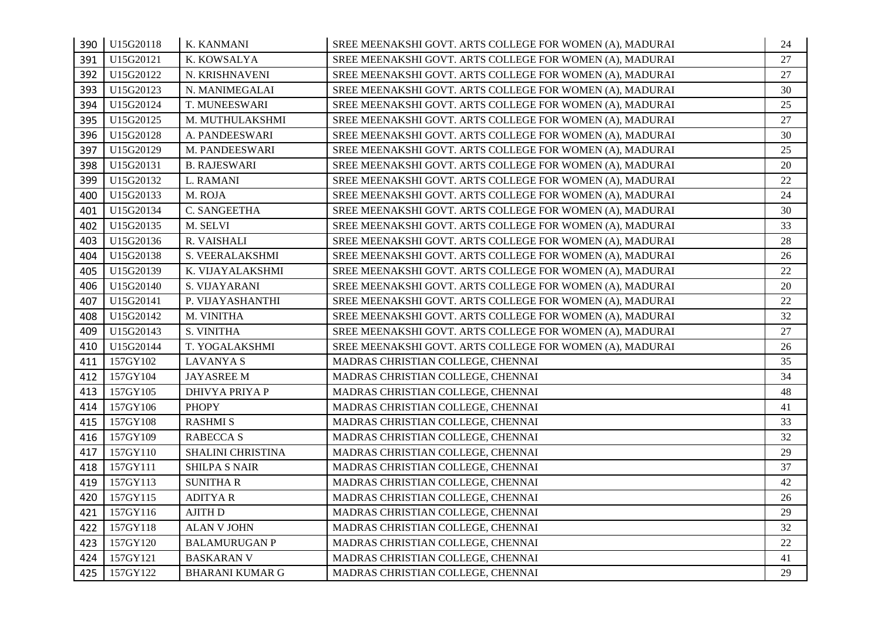| 390 | U15G20118 | K. KANMANI             | SREE MEENAKSHI GOVT. ARTS COLLEGE FOR WOMEN (A), MADURAI | 24 |
|-----|-----------|------------------------|----------------------------------------------------------|----|
| 391 | U15G20121 | K. KOWSALYA            | SREE MEENAKSHI GOVT. ARTS COLLEGE FOR WOMEN (A), MADURAI | 27 |
| 392 | U15G20122 | N. KRISHNAVENI         | SREE MEENAKSHI GOVT. ARTS COLLEGE FOR WOMEN (A), MADURAI | 27 |
| 393 | U15G20123 | N. MANIMEGALAI         | SREE MEENAKSHI GOVT. ARTS COLLEGE FOR WOMEN (A), MADURAI | 30 |
| 394 | U15G20124 | T. MUNEESWARI          | SREE MEENAKSHI GOVT. ARTS COLLEGE FOR WOMEN (A), MADURAI | 25 |
| 395 | U15G20125 | M. MUTHULAKSHMI        | SREE MEENAKSHI GOVT. ARTS COLLEGE FOR WOMEN (A), MADURAI | 27 |
| 396 | U15G20128 | A. PANDEESWARI         | SREE MEENAKSHI GOVT. ARTS COLLEGE FOR WOMEN (A), MADURAI | 30 |
| 397 | U15G20129 | M. PANDEESWARI         | SREE MEENAKSHI GOVT. ARTS COLLEGE FOR WOMEN (A), MADURAI | 25 |
| 398 | U15G20131 | <b>B. RAJESWARI</b>    | SREE MEENAKSHI GOVT. ARTS COLLEGE FOR WOMEN (A), MADURAI | 20 |
| 399 | U15G20132 | L. RAMANI              | SREE MEENAKSHI GOVT. ARTS COLLEGE FOR WOMEN (A), MADURAI | 22 |
| 400 | U15G20133 | M. ROJA                | SREE MEENAKSHI GOVT. ARTS COLLEGE FOR WOMEN (A), MADURAI | 24 |
| 401 | U15G20134 | C. SANGEETHA           | SREE MEENAKSHI GOVT. ARTS COLLEGE FOR WOMEN (A), MADURAI | 30 |
| 402 | U15G20135 | M. SELVI               | SREE MEENAKSHI GOVT. ARTS COLLEGE FOR WOMEN (A), MADURAI | 33 |
| 403 | U15G20136 | R. VAISHALI            | SREE MEENAKSHI GOVT. ARTS COLLEGE FOR WOMEN (A), MADURAI | 28 |
| 404 | U15G20138 | S. VEERALAKSHMI        | SREE MEENAKSHI GOVT. ARTS COLLEGE FOR WOMEN (A), MADURAI | 26 |
| 405 | U15G20139 | K. VIJAYALAKSHMI       | SREE MEENAKSHI GOVT. ARTS COLLEGE FOR WOMEN (A), MADURAI | 22 |
| 406 | U15G20140 | S. VIJAYARANI          | SREE MEENAKSHI GOVT. ARTS COLLEGE FOR WOMEN (A), MADURAI | 20 |
| 407 | U15G20141 | P. VIJAYASHANTHI       | SREE MEENAKSHI GOVT. ARTS COLLEGE FOR WOMEN (A), MADURAI | 22 |
| 408 | U15G20142 | M. VINITHA             | SREE MEENAKSHI GOVT. ARTS COLLEGE FOR WOMEN (A), MADURAI | 32 |
| 409 | U15G20143 | S. VINITHA             | SREE MEENAKSHI GOVT. ARTS COLLEGE FOR WOMEN (A), MADURAI | 27 |
| 410 | U15G20144 | T. YOGALAKSHMI         | SREE MEENAKSHI GOVT. ARTS COLLEGE FOR WOMEN (A), MADURAI | 26 |
| 411 | 157GY102  | <b>LAVANYAS</b>        | MADRAS CHRISTIAN COLLEGE, CHENNAI                        | 35 |
| 412 | 157GY104  | JAYASREE M             | MADRAS CHRISTIAN COLLEGE, CHENNAI                        | 34 |
| 413 | 157GY105  | <b>DHIVYA PRIYA P</b>  | MADRAS CHRISTIAN COLLEGE, CHENNAI                        | 48 |
| 414 | 157GY106  | <b>PHOPY</b>           | MADRAS CHRISTIAN COLLEGE, CHENNAI                        | 41 |
| 415 | 157GY108  | <b>RASHMI S</b>        | MADRAS CHRISTIAN COLLEGE, CHENNAI                        | 33 |
| 416 | 157GY109  | RABECCA S              | MADRAS CHRISTIAN COLLEGE, CHENNAI                        | 32 |
| 417 | 157GY110  | SHALINI CHRISTINA      | MADRAS CHRISTIAN COLLEGE, CHENNAI                        | 29 |
| 418 | 157GY111  | <b>SHILPA S NAIR</b>   | MADRAS CHRISTIAN COLLEGE, CHENNAI                        | 37 |
| 419 | 157GY113  | <b>SUNITHAR</b>        | MADRAS CHRISTIAN COLLEGE, CHENNAI                        | 42 |
| 420 | 157GY115  | <b>ADITYAR</b>         | MADRAS CHRISTIAN COLLEGE, CHENNAI                        | 26 |
| 421 | 157GY116  | AJITH D                | MADRAS CHRISTIAN COLLEGE, CHENNAI                        | 29 |
| 422 | 157GY118  | <b>ALAN V JOHN</b>     | MADRAS CHRISTIAN COLLEGE, CHENNAI                        | 32 |
| 423 | 157GY120  | <b>BALAMURUGAN P</b>   | MADRAS CHRISTIAN COLLEGE, CHENNAI                        | 22 |
| 424 | 157GY121  | <b>BASKARAN V</b>      | MADRAS CHRISTIAN COLLEGE, CHENNAI                        | 41 |
| 425 | 157GY122  | <b>BHARANI KUMAR G</b> | MADRAS CHRISTIAN COLLEGE, CHENNAI                        | 29 |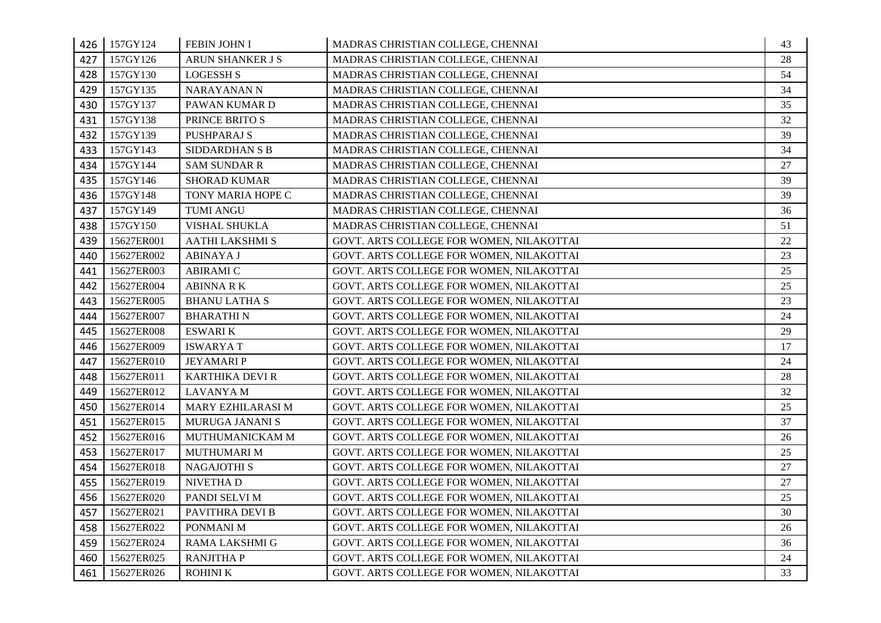| 426 | 157GY124   | FEBIN JOHN I            | MADRAS CHRISTIAN COLLEGE, CHENNAI        | 43 |
|-----|------------|-------------------------|------------------------------------------|----|
| 427 | 157GY126   | <b>ARUN SHANKER J S</b> | MADRAS CHRISTIAN COLLEGE, CHENNAI        | 28 |
| 428 | 157GY130   | <b>LOGESSH S</b>        | MADRAS CHRISTIAN COLLEGE, CHENNAI        | 54 |
| 429 | 157GY135   | NARAYANAN N             | MADRAS CHRISTIAN COLLEGE, CHENNAI        | 34 |
| 430 | 157GY137   | PAWAN KUMAR D           | MADRAS CHRISTIAN COLLEGE, CHENNAI        | 35 |
| 431 | 157GY138   | PRINCE BRITO S          | MADRAS CHRISTIAN COLLEGE, CHENNAI        | 32 |
| 432 | 157GY139   | <b>PUSHPARAJ S</b>      | MADRAS CHRISTIAN COLLEGE, CHENNAI        | 39 |
| 433 | 157GY143   | SIDDARDHAN S B          | MADRAS CHRISTIAN COLLEGE, CHENNAI        | 34 |
| 434 | 157GY144   | <b>SAM SUNDAR R</b>     | MADRAS CHRISTIAN COLLEGE, CHENNAI        | 27 |
| 435 | 157GY146   | <b>SHORAD KUMAR</b>     | MADRAS CHRISTIAN COLLEGE, CHENNAI        | 39 |
| 436 | 157GY148   | TONY MARIA HOPE C       | MADRAS CHRISTIAN COLLEGE, CHENNAI        | 39 |
| 437 | 157GY149   | <b>TUMI ANGU</b>        | MADRAS CHRISTIAN COLLEGE, CHENNAI        | 36 |
| 438 | 157GY150   | VISHAL SHUKLA           | MADRAS CHRISTIAN COLLEGE, CHENNAI        | 51 |
| 439 | 15627ER001 | <b>AATHI LAKSHMI S</b>  | GOVT. ARTS COLLEGE FOR WOMEN, NILAKOTTAI | 22 |
| 440 | 15627ER002 | <b>ABINAYA J</b>        | GOVT. ARTS COLLEGE FOR WOMEN, NILAKOTTAI | 23 |
| 441 | 15627ER003 | <b>ABIRAMI C</b>        | GOVT. ARTS COLLEGE FOR WOMEN, NILAKOTTAI | 25 |
| 442 | 15627ER004 | ABINNA R K              | GOVT. ARTS COLLEGE FOR WOMEN, NILAKOTTAI | 25 |
| 443 | 15627ER005 | <b>BHANU LATHA S</b>    | GOVT. ARTS COLLEGE FOR WOMEN, NILAKOTTAI | 23 |
| 444 | 15627ER007 | <b>BHARATHIN</b>        | GOVT. ARTS COLLEGE FOR WOMEN, NILAKOTTAI | 24 |
| 445 | 15627ER008 | <b>ESWARI K</b>         | GOVT. ARTS COLLEGE FOR WOMEN, NILAKOTTAI | 29 |
| 446 | 15627ER009 | <b>ISWARYAT</b>         | GOVT. ARTS COLLEGE FOR WOMEN, NILAKOTTAI | 17 |
| 447 | 15627ER010 | <b>JEYAMARIP</b>        | GOVT. ARTS COLLEGE FOR WOMEN, NILAKOTTAI | 24 |
| 448 | 15627ER011 | <b>KARTHIKA DEVI R</b>  | GOVT. ARTS COLLEGE FOR WOMEN, NILAKOTTAI | 28 |
| 449 | 15627ER012 | <b>LAVANYAM</b>         | GOVT. ARTS COLLEGE FOR WOMEN, NILAKOTTAI | 32 |
| 450 | 15627ER014 | MARY EZHILARASI M       | GOVT. ARTS COLLEGE FOR WOMEN, NILAKOTTAI | 25 |
| 451 | 15627ER015 | MURUGA JANANI S         | GOVT. ARTS COLLEGE FOR WOMEN, NILAKOTTAI | 37 |
| 452 | 15627ER016 | MUTHUMANICKAM M         | GOVT. ARTS COLLEGE FOR WOMEN, NILAKOTTAI | 26 |
| 453 | 15627ER017 | MUTHUMARI M             | GOVT. ARTS COLLEGE FOR WOMEN, NILAKOTTAI | 25 |
| 454 | 15627ER018 | <b>NAGAJOTHI S</b>      | GOVT. ARTS COLLEGE FOR WOMEN, NILAKOTTAI | 27 |
| 455 | 15627ER019 | NIVETHA D               | GOVT. ARTS COLLEGE FOR WOMEN, NILAKOTTAI | 27 |
| 456 | 15627ER020 | PANDI SELVI M           | GOVT. ARTS COLLEGE FOR WOMEN, NILAKOTTAI | 25 |
| 457 | 15627ER021 | PAVITHRA DEVI B         | GOVT. ARTS COLLEGE FOR WOMEN, NILAKOTTAI | 30 |
| 458 | 15627ER022 | PONMANI M               | GOVT. ARTS COLLEGE FOR WOMEN, NILAKOTTAI | 26 |
| 459 | 15627ER024 | <b>RAMA LAKSHMI G</b>   | GOVT. ARTS COLLEGE FOR WOMEN, NILAKOTTAI | 36 |
| 460 | 15627ER025 | <b>RANJITHA P</b>       | GOVT. ARTS COLLEGE FOR WOMEN, NILAKOTTAI | 24 |
| 461 | 15627ER026 | ROHINI K                | GOVT. ARTS COLLEGE FOR WOMEN, NILAKOTTAI | 33 |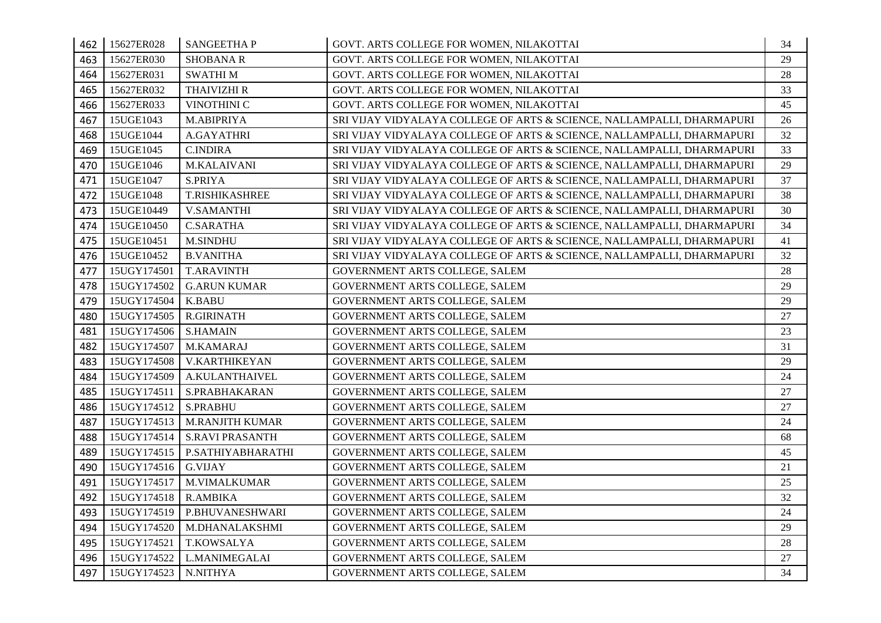| 462 | 15627ER028  | <b>SANGEETHAP</b>      | GOVT. ARTS COLLEGE FOR WOMEN, NILAKOTTAI                               | 34 |
|-----|-------------|------------------------|------------------------------------------------------------------------|----|
| 463 | 15627ER030  | <b>SHOBANA R</b>       | GOVT. ARTS COLLEGE FOR WOMEN, NILAKOTTAI                               | 29 |
| 464 | 15627ER031  | <b>SWATHIM</b>         | GOVT. ARTS COLLEGE FOR WOMEN, NILAKOTTAI                               | 28 |
| 465 | 15627ER032  | <b>THAIVIZHI R</b>     | GOVT. ARTS COLLEGE FOR WOMEN, NILAKOTTAI                               | 33 |
| 466 | 15627ER033  | VINOTHINI C            | GOVT. ARTS COLLEGE FOR WOMEN, NILAKOTTAI                               | 45 |
| 467 | 15UGE1043   | M.ABIPRIYA             | SRI VIJAY VIDYALAYA COLLEGE OF ARTS & SCIENCE, NALLAMPALLI, DHARMAPURI | 26 |
| 468 | 15UGE1044   | A.GAYATHRI             | SRI VIJAY VIDYALAYA COLLEGE OF ARTS & SCIENCE, NALLAMPALLI, DHARMAPURI | 32 |
| 469 | 15UGE1045   | <b>C.INDIRA</b>        | SRI VIJAY VIDYALAYA COLLEGE OF ARTS & SCIENCE, NALLAMPALLI, DHARMAPURI | 33 |
| 470 | 15UGE1046   | M.KALAIVANI            | SRI VIJAY VIDYALAYA COLLEGE OF ARTS & SCIENCE, NALLAMPALLI, DHARMAPURI | 29 |
| 471 | 15UGE1047   | S.PRIYA                | SRI VIJAY VIDYALAYA COLLEGE OF ARTS & SCIENCE, NALLAMPALLI, DHARMAPURI | 37 |
| 472 | 15UGE1048   | T.RISHIKASHREE         | SRI VIJAY VIDYALAYA COLLEGE OF ARTS & SCIENCE, NALLAMPALLI, DHARMAPURI | 38 |
| 473 | 15UGE10449  | <b>V.SAMANTHI</b>      | SRI VIJAY VIDYALAYA COLLEGE OF ARTS & SCIENCE, NALLAMPALLI, DHARMAPURI | 30 |
| 474 | 15UGE10450  | <b>C.SARATHA</b>       | SRI VIJAY VIDYALAYA COLLEGE OF ARTS & SCIENCE, NALLAMPALLI, DHARMAPURI | 34 |
| 475 | 15UGE10451  | <b>M.SINDHU</b>        | SRI VIJAY VIDYALAYA COLLEGE OF ARTS & SCIENCE, NALLAMPALLI, DHARMAPURI | 41 |
| 476 | 15UGE10452  | <b>B.VANITHA</b>       | SRI VIJAY VIDYALAYA COLLEGE OF ARTS & SCIENCE, NALLAMPALLI, DHARMAPURI | 32 |
| 477 | 15UGY174501 | <b>T.ARAVINTH</b>      | GOVERNMENT ARTS COLLEGE, SALEM                                         | 28 |
| 478 | 15UGY174502 | <b>G.ARUN KUMAR</b>    | GOVERNMENT ARTS COLLEGE, SALEM                                         | 29 |
| 479 | 15UGY174504 | K.BABU                 | GOVERNMENT ARTS COLLEGE, SALEM                                         | 29 |
| 480 | 15UGY174505 | R.GIRINATH             | GOVERNMENT ARTS COLLEGE, SALEM                                         | 27 |
| 481 | 15UGY174506 | <b>S.HAMAIN</b>        | GOVERNMENT ARTS COLLEGE, SALEM                                         | 23 |
| 482 | 15UGY174507 | M.KAMARAJ              | GOVERNMENT ARTS COLLEGE, SALEM                                         | 31 |
| 483 | 15UGY174508 | <b>V.KARTHIKEYAN</b>   | GOVERNMENT ARTS COLLEGE, SALEM                                         | 29 |
| 484 | 15UGY174509 | A.KULANTHAIVEL         | GOVERNMENT ARTS COLLEGE, SALEM                                         | 24 |
| 485 | 15UGY174511 | S.PRABHAKARAN          | GOVERNMENT ARTS COLLEGE, SALEM                                         | 27 |
| 486 | 15UGY174512 | <b>S.PRABHU</b>        | GOVERNMENT ARTS COLLEGE, SALEM                                         | 27 |
| 487 | 15UGY174513 | <b>M.RANJITH KUMAR</b> | GOVERNMENT ARTS COLLEGE, SALEM                                         | 24 |
| 488 | 15UGY174514 | <b>S.RAVI PRASANTH</b> | GOVERNMENT ARTS COLLEGE, SALEM                                         | 68 |
| 489 | 15UGY174515 | P.SATHIYABHARATHI      | GOVERNMENT ARTS COLLEGE, SALEM                                         | 45 |
| 490 | 15UGY174516 | <b>G.VIJAY</b>         | GOVERNMENT ARTS COLLEGE, SALEM                                         | 21 |
| 491 | 15UGY174517 | <b>M.VIMALKUMAR</b>    | GOVERNMENT ARTS COLLEGE, SALEM                                         | 25 |
| 492 | 15UGY174518 | <b>R.AMBIKA</b>        | GOVERNMENT ARTS COLLEGE, SALEM                                         | 32 |
| 493 | 15UGY174519 | P.BHUVANESHWARI        | GOVERNMENT ARTS COLLEGE, SALEM                                         | 24 |
| 494 | 15UGY174520 | M.DHANALAKSHMI         | GOVERNMENT ARTS COLLEGE, SALEM                                         | 29 |
| 495 | 15UGY174521 | T.KOWSALYA             | GOVERNMENT ARTS COLLEGE, SALEM                                         | 28 |
| 496 | 15UGY174522 | L.MANIMEGALAI          | GOVERNMENT ARTS COLLEGE, SALEM                                         | 27 |
| 497 | 15UGY174523 | N.NITHYA               | GOVERNMENT ARTS COLLEGE, SALEM                                         | 34 |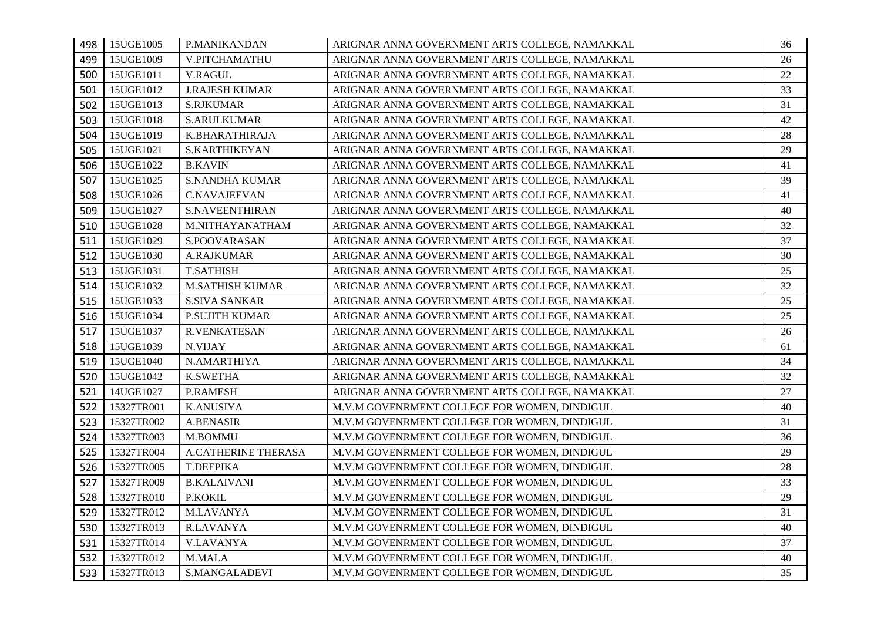| 498 | 15UGE1005  | P.MANIKANDAN           | ARIGNAR ANNA GOVERNMENT ARTS COLLEGE, NAMAKKAL | 36     |
|-----|------------|------------------------|------------------------------------------------|--------|
| 499 | 15UGE1009  | V.PITCHAMATHU          | ARIGNAR ANNA GOVERNMENT ARTS COLLEGE, NAMAKKAL | 26     |
| 500 | 15UGE1011  | <b>V.RAGUL</b>         | ARIGNAR ANNA GOVERNMENT ARTS COLLEGE, NAMAKKAL | 22     |
| 501 | 15UGE1012  | <b>J.RAJESH KUMAR</b>  | ARIGNAR ANNA GOVERNMENT ARTS COLLEGE, NAMAKKAL | 33     |
| 502 | 15UGE1013  | <b>S.RJKUMAR</b>       | ARIGNAR ANNA GOVERNMENT ARTS COLLEGE, NAMAKKAL | 31     |
| 503 | 15UGE1018  | <b>S.ARULKUMAR</b>     | ARIGNAR ANNA GOVERNMENT ARTS COLLEGE, NAMAKKAL | 42     |
| 504 | 15UGE1019  | K.BHARATHIRAJA         | ARIGNAR ANNA GOVERNMENT ARTS COLLEGE, NAMAKKAL | $28\,$ |
| 505 | 15UGE1021  | S.KARTHIKEYAN          | ARIGNAR ANNA GOVERNMENT ARTS COLLEGE, NAMAKKAL | 29     |
| 506 | 15UGE1022  | <b>B.KAVIN</b>         | ARIGNAR ANNA GOVERNMENT ARTS COLLEGE, NAMAKKAL | 41     |
| 507 | 15UGE1025  | <b>S.NANDHA KUMAR</b>  | ARIGNAR ANNA GOVERNMENT ARTS COLLEGE, NAMAKKAL | 39     |
| 508 | 15UGE1026  | C.NAVAJEEVAN           | ARIGNAR ANNA GOVERNMENT ARTS COLLEGE, NAMAKKAL | 41     |
| 509 | 15UGE1027  | <b>S.NAVEENTHIRAN</b>  | ARIGNAR ANNA GOVERNMENT ARTS COLLEGE, NAMAKKAL | 40     |
| 510 | 15UGE1028  | M.NITHAYANATHAM        | ARIGNAR ANNA GOVERNMENT ARTS COLLEGE, NAMAKKAL | 32     |
| 511 | 15UGE1029  | S.POOVARASAN           | ARIGNAR ANNA GOVERNMENT ARTS COLLEGE, NAMAKKAL | 37     |
| 512 | 15UGE1030  | <b>A.RAJKUMAR</b>      | ARIGNAR ANNA GOVERNMENT ARTS COLLEGE, NAMAKKAL | 30     |
| 513 | 15UGE1031  | <b>T.SATHISH</b>       | ARIGNAR ANNA GOVERNMENT ARTS COLLEGE, NAMAKKAL | 25     |
| 514 | 15UGE1032  | <b>M.SATHISH KUMAR</b> | ARIGNAR ANNA GOVERNMENT ARTS COLLEGE, NAMAKKAL | 32     |
| 515 | 15UGE1033  | <b>S.SIVA SANKAR</b>   | ARIGNAR ANNA GOVERNMENT ARTS COLLEGE, NAMAKKAL | 25     |
| 516 | 15UGE1034  | P.SUJITH KUMAR         | ARIGNAR ANNA GOVERNMENT ARTS COLLEGE, NAMAKKAL | 25     |
| 517 | 15UGE1037  | <b>R.VENKATESAN</b>    | ARIGNAR ANNA GOVERNMENT ARTS COLLEGE, NAMAKKAL | 26     |
| 518 | 15UGE1039  | N.VIJAY                | ARIGNAR ANNA GOVERNMENT ARTS COLLEGE, NAMAKKAL | 61     |
| 519 | 15UGE1040  | N.AMARTHIYA            | ARIGNAR ANNA GOVERNMENT ARTS COLLEGE, NAMAKKAL | 34     |
| 520 | 15UGE1042  | <b>K.SWETHA</b>        | ARIGNAR ANNA GOVERNMENT ARTS COLLEGE, NAMAKKAL | 32     |
| 521 | 14UGE1027  | P.RAMESH               | ARIGNAR ANNA GOVERNMENT ARTS COLLEGE, NAMAKKAL | 27     |
| 522 | 15327TR001 | <b>K.ANUSIYA</b>       | M.V.M GOVENRMENT COLLEGE FOR WOMEN, DINDIGUL   | 40     |
| 523 | 15327TR002 | <b>A.BENASIR</b>       | M.V.M GOVENRMENT COLLEGE FOR WOMEN, DINDIGUL   | 31     |
| 524 | 15327TR003 | M.BOMMU                | M.V.M GOVENRMENT COLLEGE FOR WOMEN, DINDIGUL   | 36     |
| 525 | 15327TR004 | A.CATHERINE THERASA    | M.V.M GOVENRMENT COLLEGE FOR WOMEN, DINDIGUL   | 29     |
| 526 | 15327TR005 | T.DEEPIKA              | M.V.M GOVENRMENT COLLEGE FOR WOMEN, DINDIGUL   | 28     |
| 527 | 15327TR009 | <b>B.KALAIVANI</b>     | M.V.M GOVENRMENT COLLEGE FOR WOMEN, DINDIGUL   | 33     |
| 528 | 15327TR010 | P.KOKIL                | M.V.M GOVENRMENT COLLEGE FOR WOMEN, DINDIGUL   | 29     |
| 529 | 15327TR012 | <b>M.LAVANYA</b>       | M.V.M GOVENRMENT COLLEGE FOR WOMEN, DINDIGUL   | 31     |
| 530 | 15327TR013 | <b>R.LAVANYA</b>       | M.V.M GOVENRMENT COLLEGE FOR WOMEN, DINDIGUL   | 40     |
| 531 | 15327TR014 | <b>V.LAVANYA</b>       | M.V.M GOVENRMENT COLLEGE FOR WOMEN, DINDIGUL   | 37     |
| 532 | 15327TR012 | M.MALA                 | M.V.M GOVENRMENT COLLEGE FOR WOMEN, DINDIGUL   | 40     |
| 533 | 15327TR013 | <b>S.MANGALADEVI</b>   | M.V.M GOVENRMENT COLLEGE FOR WOMEN, DINDIGUL   | 35     |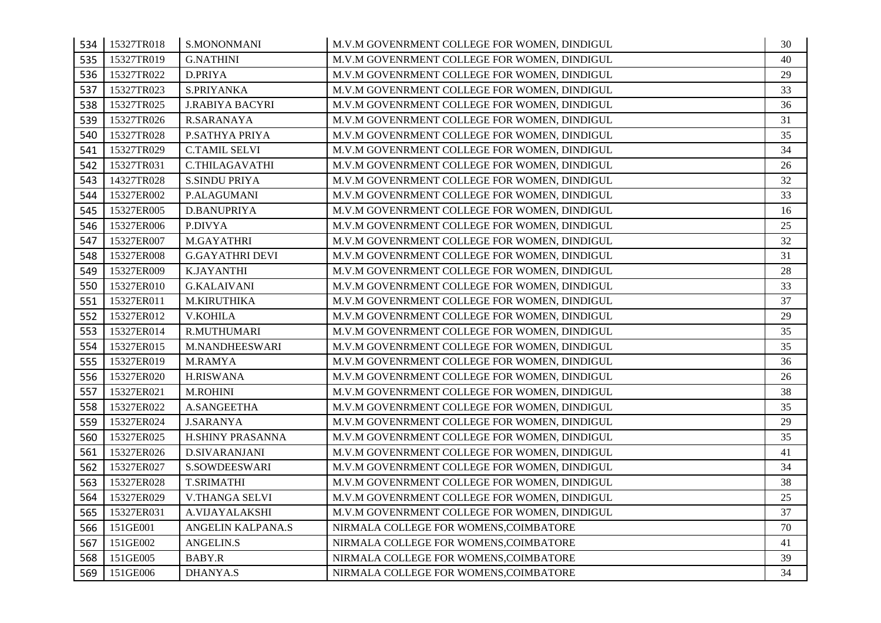| 534 | 15327TR018 | S.MONONMANI             | M.V.M GOVENRMENT COLLEGE FOR WOMEN, DINDIGUL | 30 |
|-----|------------|-------------------------|----------------------------------------------|----|
| 535 | 15327TR019 | <b>G.NATHINI</b>        | M.V.M GOVENRMENT COLLEGE FOR WOMEN, DINDIGUL | 40 |
| 536 | 15327TR022 | D.PRIYA                 | M.V.M GOVENRMENT COLLEGE FOR WOMEN, DINDIGUL | 29 |
| 537 | 15327TR023 | S.PRIYANKA              | M.V.M GOVENRMENT COLLEGE FOR WOMEN, DINDIGUL | 33 |
| 538 | 15327TR025 | <b>J.RABIYA BACYRI</b>  | M.V.M GOVENRMENT COLLEGE FOR WOMEN, DINDIGUL | 36 |
| 539 | 15327TR026 | <b>R.SARANAYA</b>       | M.V.M GOVENRMENT COLLEGE FOR WOMEN, DINDIGUL | 31 |
| 540 | 15327TR028 | P.SATHYA PRIYA          | M.V.M GOVENRMENT COLLEGE FOR WOMEN, DINDIGUL | 35 |
| 541 | 15327TR029 | <b>C.TAMIL SELVI</b>    | M.V.M GOVENRMENT COLLEGE FOR WOMEN, DINDIGUL | 34 |
| 542 | 15327TR031 | <b>C.THILAGAVATHI</b>   | M.V.M GOVENRMENT COLLEGE FOR WOMEN, DINDIGUL | 26 |
| 543 | 14327TR028 | <b>S.SINDU PRIYA</b>    | M.V.M GOVENRMENT COLLEGE FOR WOMEN, DINDIGUL | 32 |
| 544 | 15327ER002 | P.ALAGUMANI             | M.V.M GOVENRMENT COLLEGE FOR WOMEN, DINDIGUL | 33 |
| 545 | 15327ER005 | D.BANUPRIYA             | M.V.M GOVENRMENT COLLEGE FOR WOMEN, DINDIGUL | 16 |
| 546 | 15327ER006 | P.DIVYA                 | M.V.M GOVENRMENT COLLEGE FOR WOMEN, DINDIGUL | 25 |
| 547 | 15327ER007 | M.GAYATHRI              | M.V.M GOVENRMENT COLLEGE FOR WOMEN, DINDIGUL | 32 |
| 548 | 15327ER008 | <b>G.GAYATHRI DEVI</b>  | M.V.M GOVENRMENT COLLEGE FOR WOMEN, DINDIGUL | 31 |
| 549 | 15327ER009 | <b>K.JAYANTHI</b>       | M.V.M GOVENRMENT COLLEGE FOR WOMEN, DINDIGUL | 28 |
| 550 | 15327ER010 | <b>G.KALAIVANI</b>      | M.V.M GOVENRMENT COLLEGE FOR WOMEN, DINDIGUL | 33 |
| 551 | 15327ER011 | M.KIRUTHIKA             | M.V.M GOVENRMENT COLLEGE FOR WOMEN, DINDIGUL | 37 |
| 552 | 15327ER012 | <b>V.KOHILA</b>         | M.V.M GOVENRMENT COLLEGE FOR WOMEN, DINDIGUL | 29 |
| 553 | 15327ER014 | R.MUTHUMARI             | M.V.M GOVENRMENT COLLEGE FOR WOMEN, DINDIGUL | 35 |
| 554 | 15327ER015 | M.NANDHEESWARI          | M.V.M GOVENRMENT COLLEGE FOR WOMEN, DINDIGUL | 35 |
| 555 | 15327ER019 | <b>M.RAMYA</b>          | M.V.M GOVENRMENT COLLEGE FOR WOMEN, DINDIGUL | 36 |
| 556 | 15327ER020 | <b>H.RISWANA</b>        | M.V.M GOVENRMENT COLLEGE FOR WOMEN, DINDIGUL | 26 |
| 557 | 15327ER021 | <b>M.ROHINI</b>         | M.V.M GOVENRMENT COLLEGE FOR WOMEN, DINDIGUL | 38 |
| 558 | 15327ER022 | A.SANGEETHA             | M.V.M GOVENRMENT COLLEGE FOR WOMEN, DINDIGUL | 35 |
| 559 | 15327ER024 | <b>J.SARANYA</b>        | M.V.M GOVENRMENT COLLEGE FOR WOMEN, DINDIGUL | 29 |
| 560 | 15327ER025 | <b>H.SHINY PRASANNA</b> | M.V.M GOVENRMENT COLLEGE FOR WOMEN, DINDIGUL | 35 |
| 561 | 15327ER026 | <b>D.SIVARANJANI</b>    | M.V.M GOVENRMENT COLLEGE FOR WOMEN, DINDIGUL | 41 |
| 562 | 15327ER027 | <b>S.SOWDEESWARI</b>    | M.V.M GOVENRMENT COLLEGE FOR WOMEN, DINDIGUL | 34 |
| 563 | 15327ER028 | <b>T.SRIMATHI</b>       | M.V.M GOVENRMENT COLLEGE FOR WOMEN, DINDIGUL | 38 |
| 564 | 15327ER029 | <b>V.THANGA SELVI</b>   | M.V.M GOVENRMENT COLLEGE FOR WOMEN, DINDIGUL | 25 |
| 565 | 15327ER031 | A.VIJAYALAKSHI          | M.V.M GOVENRMENT COLLEGE FOR WOMEN, DINDIGUL | 37 |
| 566 | 151GE001   | ANGELIN KALPANA.S       | NIRMALA COLLEGE FOR WOMENS, COIMBATORE       | 70 |
| 567 | 151GE002   | ANGELIN.S               | NIRMALA COLLEGE FOR WOMENS, COIMBATORE       | 41 |
| 568 | 151GE005   | <b>BABY.R</b>           | NIRMALA COLLEGE FOR WOMENS, COIMBATORE       | 39 |
| 569 | 151GE006   | <b>DHANYA.S</b>         | NIRMALA COLLEGE FOR WOMENS, COIMBATORE       | 34 |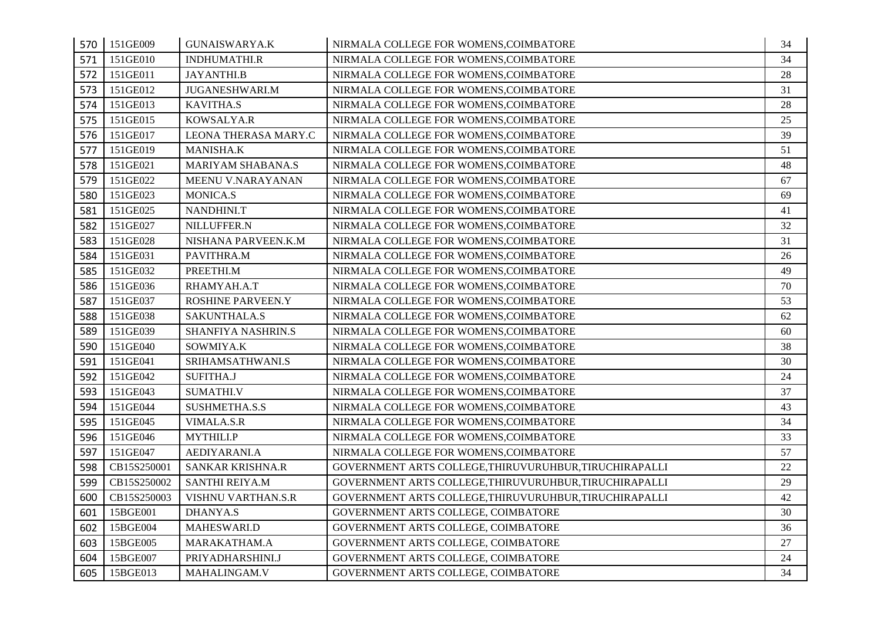|     | 570 151GE009 | <b>GUNAISWARYA.K</b>      | NIRMALA COLLEGE FOR WOMENS, COIMBATORE                 | 34 |
|-----|--------------|---------------------------|--------------------------------------------------------|----|
| 571 | 151GE010     | INDHUMATHI.R              | NIRMALA COLLEGE FOR WOMENS, COIMBATORE                 | 34 |
| 572 | 151GE011     | <b>JAYANTHI.B</b>         | NIRMALA COLLEGE FOR WOMENS, COIMBATORE                 | 28 |
| 573 | 151GE012     | <b>JUGANESHWARI.M</b>     | NIRMALA COLLEGE FOR WOMENS, COIMBATORE                 | 31 |
| 574 | 151GE013     | <b>KAVITHA.S</b>          | NIRMALA COLLEGE FOR WOMENS, COIMBATORE                 | 28 |
| 575 | 151GE015     | KOWSALYA.R                | NIRMALA COLLEGE FOR WOMENS, COIMBATORE                 | 25 |
| 576 | 151GE017     | LEONA THERASA MARY.C      | NIRMALA COLLEGE FOR WOMENS, COIMBATORE                 | 39 |
| 577 | 151GE019     | MANISHA.K                 | NIRMALA COLLEGE FOR WOMENS, COIMBATORE                 | 51 |
| 578 | 151GE021     | <b>MARIYAM SHABANA.S</b>  | NIRMALA COLLEGE FOR WOMENS, COIMBATORE                 | 48 |
| 579 | 151GE022     | MEENU V.NARAYANAN         | NIRMALA COLLEGE FOR WOMENS, COIMBATORE                 | 67 |
| 580 | 151GE023     | MONICA.S                  | NIRMALA COLLEGE FOR WOMENS, COIMBATORE                 | 69 |
| 581 | 151GE025     | NANDHINI.T                | NIRMALA COLLEGE FOR WOMENS, COIMBATORE                 | 41 |
| 582 | 151GE027     | NILLUFFER.N               | NIRMALA COLLEGE FOR WOMENS, COIMBATORE                 | 32 |
| 583 | 151GE028     | NISHANA PARVEEN.K.M       | NIRMALA COLLEGE FOR WOMENS, COIMBATORE                 | 31 |
| 584 | 151GE031     | PAVITHRA.M                | NIRMALA COLLEGE FOR WOMENS, COIMBATORE                 | 26 |
| 585 | 151GE032     | PREETHI.M                 | NIRMALA COLLEGE FOR WOMENS, COIMBATORE                 | 49 |
| 586 | 151GE036     | RHAMYAH.A.T               | NIRMALA COLLEGE FOR WOMENS, COIMBATORE                 | 70 |
| 587 | 151GE037     | ROSHINE PARVEEN.Y         | NIRMALA COLLEGE FOR WOMENS, COIMBATORE                 | 53 |
| 588 | 151GE038     | SAKUNTHALA.S              | NIRMALA COLLEGE FOR WOMENS, COIMBATORE                 | 62 |
| 589 | 151GE039     | SHANFIYA NASHRIN.S        | NIRMALA COLLEGE FOR WOMENS, COIMBATORE                 | 60 |
| 590 | 151GE040     | SOWMIYA.K                 | NIRMALA COLLEGE FOR WOMENS, COIMBATORE                 | 38 |
| 591 | 151GE041     | SRIHAMSATHWANI.S          | NIRMALA COLLEGE FOR WOMENS, COIMBATORE                 | 30 |
| 592 | 151GE042     | <b>SUFITHA.J</b>          | NIRMALA COLLEGE FOR WOMENS, COIMBATORE                 | 24 |
| 593 | 151GE043     | <b>SUMATHI.V</b>          | NIRMALA COLLEGE FOR WOMENS, COIMBATORE                 | 37 |
| 594 | 151GE044     | SUSHMETHA.S.S             | NIRMALA COLLEGE FOR WOMENS, COIMBATORE                 | 43 |
| 595 | 151GE045     | VIMALA.S.R                | NIRMALA COLLEGE FOR WOMENS, COIMBATORE                 | 34 |
| 596 | 151GE046     | <b>MYTHILI.P</b>          | NIRMALA COLLEGE FOR WOMENS, COIMBATORE                 | 33 |
| 597 | 151GE047     | AEDIYARANI.A              | NIRMALA COLLEGE FOR WOMENS, COIMBATORE                 | 57 |
| 598 | CB15S250001  | SANKAR KRISHNA.R          | GOVERNMENT ARTS COLLEGE, THIRUVURUHBUR, TIRUCHIRAPALLI | 22 |
| 599 | CB15S250002  | SANTHI REIYA.M            | GOVERNMENT ARTS COLLEGE, THIRUVURUHBUR, TIRUCHIRAPALLI | 29 |
| 600 | CB15S250003  | <b>VISHNU VARTHAN.S.R</b> | GOVERNMENT ARTS COLLEGE, THIRUVURUHBUR, TIRUCHIRAPALLI | 42 |
| 601 | 15BGE001     | DHANYA.S                  | GOVERNMENT ARTS COLLEGE, COIMBATORE                    | 30 |
| 602 | 15BGE004     | MAHESWARI.D               | GOVERNMENT ARTS COLLEGE, COIMBATORE                    | 36 |
| 603 | 15BGE005     | MARAKATHAM.A              | GOVERNMENT ARTS COLLEGE, COIMBATORE                    | 27 |
| 604 | 15BGE007     | PRIYADHARSHINI.J          | GOVERNMENT ARTS COLLEGE, COIMBATORE                    | 24 |
| 605 | 15BGE013     | MAHALINGAM.V              | GOVERNMENT ARTS COLLEGE, COIMBATORE                    | 34 |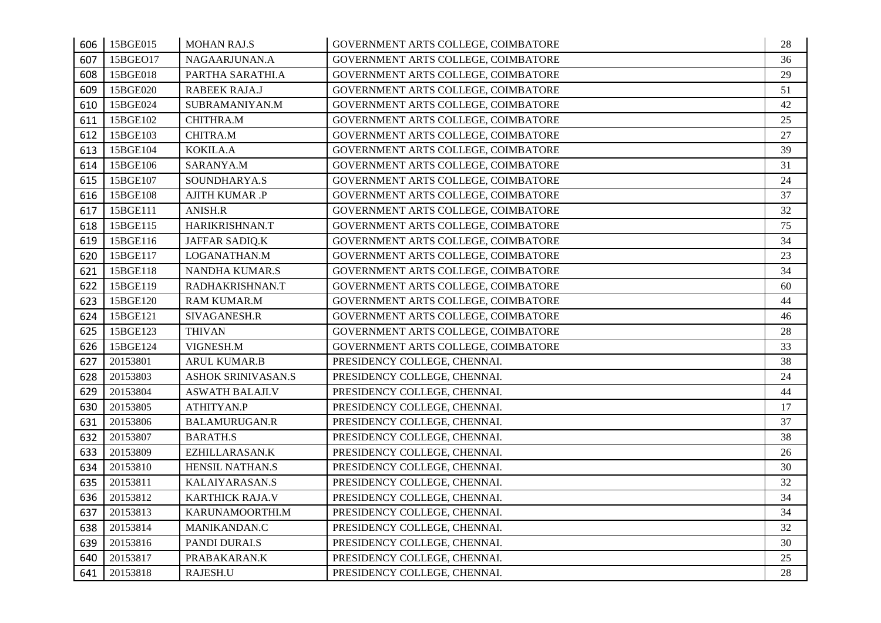| 606 | 15BGE015 | <b>MOHAN RAJ.S</b>        | GOVERNMENT ARTS COLLEGE, COIMBATORE | 28 |
|-----|----------|---------------------------|-------------------------------------|----|
| 607 | 15BGE017 | NAGAARJUNAN.A             | GOVERNMENT ARTS COLLEGE, COIMBATORE | 36 |
| 608 | 15BGE018 | PARTHA SARATHI.A          | GOVERNMENT ARTS COLLEGE, COIMBATORE | 29 |
| 609 | 15BGE020 | RABEEK RAJA.J             | GOVERNMENT ARTS COLLEGE, COIMBATORE | 51 |
| 610 | 15BGE024 | SUBRAMANIYAN.M            | GOVERNMENT ARTS COLLEGE, COIMBATORE | 42 |
| 611 | 15BGE102 | CHITHRA.M                 | GOVERNMENT ARTS COLLEGE, COIMBATORE | 25 |
| 612 | 15BGE103 | CHITRA.M                  | GOVERNMENT ARTS COLLEGE, COIMBATORE | 27 |
| 613 | 15BGE104 | KOKILA.A                  | GOVERNMENT ARTS COLLEGE, COIMBATORE | 39 |
| 614 | 15BGE106 | SARANYA.M                 | GOVERNMENT ARTS COLLEGE, COIMBATORE | 31 |
| 615 | 15BGE107 | SOUNDHARYA.S              | GOVERNMENT ARTS COLLEGE, COIMBATORE | 24 |
| 616 | 15BGE108 | <b>AJITH KUMAR .P</b>     | GOVERNMENT ARTS COLLEGE, COIMBATORE | 37 |
| 617 | 15BGE111 | ANISH.R                   | GOVERNMENT ARTS COLLEGE, COIMBATORE | 32 |
| 618 | 15BGE115 | HARIKRISHNAN.T            | GOVERNMENT ARTS COLLEGE, COIMBATORE | 75 |
| 619 | 15BGE116 | JAFFAR SADIQ.K            | GOVERNMENT ARTS COLLEGE, COIMBATORE | 34 |
| 620 | 15BGE117 | LOGANATHAN.M              | GOVERNMENT ARTS COLLEGE, COIMBATORE | 23 |
| 621 | 15BGE118 | NANDHA KUMAR.S            | GOVERNMENT ARTS COLLEGE, COIMBATORE | 34 |
| 622 | 15BGE119 | RADHAKRISHNAN.T           | GOVERNMENT ARTS COLLEGE, COIMBATORE | 60 |
| 623 | 15BGE120 | <b>RAM KUMAR.M</b>        | GOVERNMENT ARTS COLLEGE, COIMBATORE | 44 |
| 624 | 15BGE121 | SIVAGANESH.R              | GOVERNMENT ARTS COLLEGE, COIMBATORE | 46 |
| 625 | 15BGE123 | <b>THIVAN</b>             | GOVERNMENT ARTS COLLEGE, COIMBATORE | 28 |
| 626 | 15BGE124 | VIGNESH.M                 | GOVERNMENT ARTS COLLEGE, COIMBATORE | 33 |
| 627 | 20153801 | ARUL KUMAR.B              | PRESIDENCY COLLEGE, CHENNAI.        | 38 |
| 628 | 20153803 | <b>ASHOK SRINIVASAN.S</b> | PRESIDENCY COLLEGE, CHENNAI.        | 24 |
| 629 | 20153804 | <b>ASWATH BALAJI.V</b>    | PRESIDENCY COLLEGE, CHENNAI.        | 44 |
| 630 | 20153805 | ATHITYAN.P                | PRESIDENCY COLLEGE, CHENNAI.        | 17 |
| 631 | 20153806 | <b>BALAMURUGAN.R</b>      | PRESIDENCY COLLEGE, CHENNAI.        | 37 |
| 632 | 20153807 | <b>BARATH.S</b>           | PRESIDENCY COLLEGE, CHENNAI.        | 38 |
| 633 | 20153809 | EZHILLARASAN.K            | PRESIDENCY COLLEGE, CHENNAI.        | 26 |
| 634 | 20153810 | HENSIL NATHAN.S           | PRESIDENCY COLLEGE, CHENNAI.        | 30 |
| 635 | 20153811 | KALAIYARASAN.S            | PRESIDENCY COLLEGE, CHENNAI.        | 32 |
| 636 | 20153812 | KARTHICK RAJA.V           | PRESIDENCY COLLEGE, CHENNAI.        | 34 |
| 637 | 20153813 | KARUNAMOORTHI.M           | PRESIDENCY COLLEGE, CHENNAI.        | 34 |
| 638 | 20153814 | MANIKANDAN.C              | PRESIDENCY COLLEGE, CHENNAI.        | 32 |
| 639 | 20153816 | PANDI DURAI.S             | PRESIDENCY COLLEGE, CHENNAI.        | 30 |
| 640 | 20153817 | PRABAKARAN.K              | PRESIDENCY COLLEGE, CHENNAI.        | 25 |
| 641 | 20153818 | RAJESH.U                  | PRESIDENCY COLLEGE, CHENNAI.        | 28 |